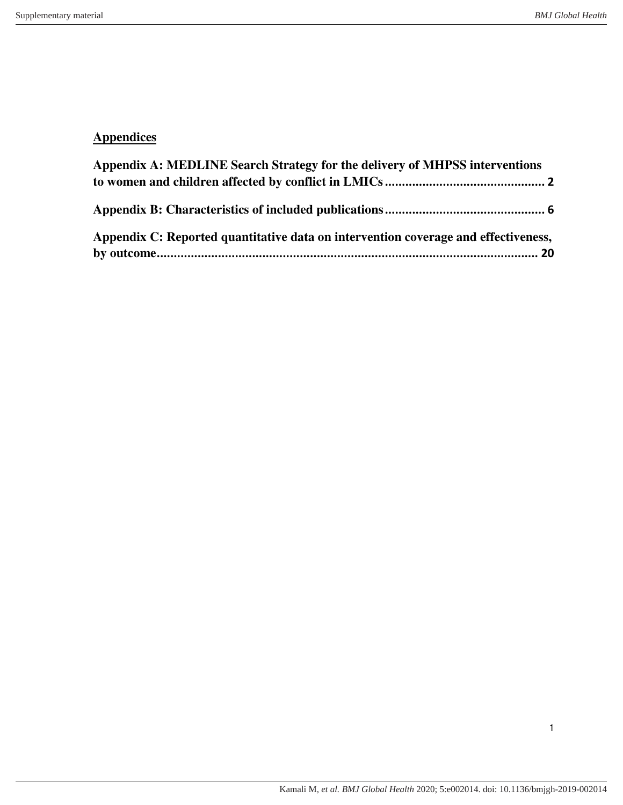## **Appendices**

<span id="page-0-0"></span>

| Appendix A: MEDLINE Search Strategy for the delivery of MHPSS interventions        |  |
|------------------------------------------------------------------------------------|--|
|                                                                                    |  |
| Appendix C: Reported quantitative data on intervention coverage and effectiveness, |  |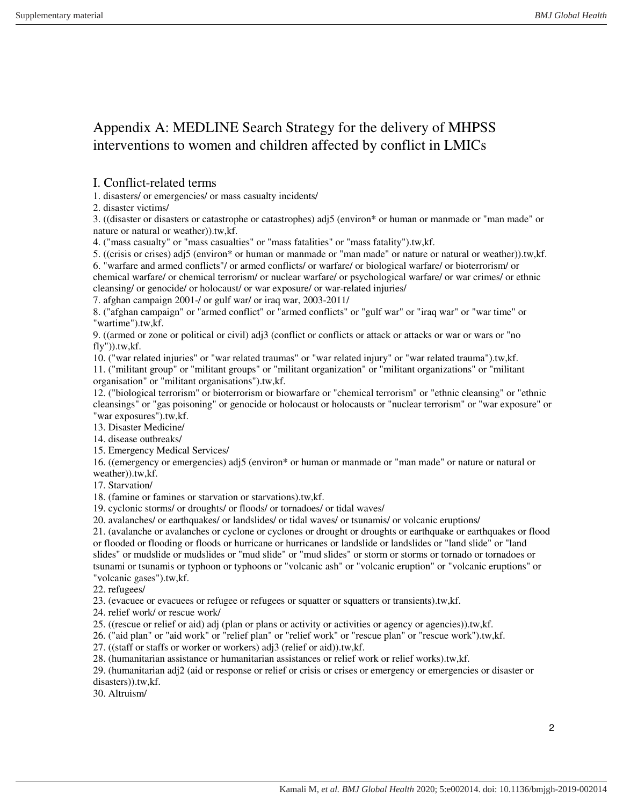## Appendix A: MEDLINE Search Strategy for the delivery of MHPSS interventions to women and children affected by conflict in LMICs

#### I. Conflict-related terms

1. disasters/ or emergencies/ or mass casualty incidents/

2. disaster victims/

3. ((disaster or disasters or catastrophe or catastrophes) adj5 (environ\* or human or manmade or "man made" or nature or natural or weather)).tw,kf.

4. ("mass casualty" or "mass casualties" or "mass fatalities" or "mass fatality").tw,kf.

5. ((crisis or crises) adj5 (environ\* or human or manmade or "man made" or nature or natural or weather)).tw,kf.

6. "warfare and armed conflicts"/ or armed conflicts/ or warfare/ or biological warfare/ or bioterrorism/ or chemical warfare/ or chemical terrorism/ or nuclear warfare/ or psychological warfare/ or war crimes/ or ethnic cleansing/ or genocide/ or holocaust/ or war exposure/ or war-related injuries/

7. afghan campaign 2001-/ or gulf war/ or iraq war, 2003-2011/

8. ("afghan campaign" or "armed conflict" or "armed conflicts" or "gulf war" or "iraq war" or "war time" or "wartime").tw,kf.

9. ((armed or zone or political or civil) adj3 (conflict or conflicts or attack or attacks or war or wars or "no  $fly'$ )).tw, $kf.$ 

10. ("war related injuries" or "war related traumas" or "war related injury" or "war related trauma").tw,kf.

11. ("militant group" or "militant groups" or "militant organization" or "militant organizations" or "militant organisation" or "militant organisations").tw,kf.

12. ("biological terrorism" or bioterrorism or biowarfare or "chemical terrorism" or "ethnic cleansing" or "ethnic cleansings" or "gas poisoning" or genocide or holocaust or holocausts or "nuclear terrorism" or "war exposure" or "war exposures").tw,kf.

13. Disaster Medicine/

14. disease outbreaks/

15. Emergency Medical Services/

16. ((emergency or emergencies) adj5 (environ\* or human or manmade or "man made" or nature or natural or weather)).tw,kf.

17. Starvation/

18. (famine or famines or starvation or starvations).tw,kf.

19. cyclonic storms/ or droughts/ or floods/ or tornadoes/ or tidal waves/

20. avalanches/ or earthquakes/ or landslides/ or tidal waves/ or tsunamis/ or volcanic eruptions/

21. (avalanche or avalanches or cyclone or cyclones or drought or droughts or earthquake or earthquakes or flood or flooded or flooding or floods or hurricane or hurricanes or landslide or landslides or "land slide" or "land slides" or mudslide or mudslides or "mud slide" or "mud slides" or storm or storms or tornado or tornadoes or tsunami or tsunamis or typhoon or typhoons or "volcanic ash" or "volcanic eruption" or "volcanic eruptions" or "volcanic gases").tw,kf.

22. refugees/

23. (evacuee or evacuees or refugee or refugees or squatter or squatters or transients).tw,kf.

24. relief work/ or rescue work/

25. ((rescue or relief or aid) adj (plan or plans or activity or activities or agency or agencies)).tw,kf.

26. ("aid plan" or "aid work" or "relief plan" or "relief work" or "rescue plan" or "rescue work").tw,kf.

27. ((staff or staffs or worker or workers) adj3 (relief or aid)).tw,kf.

28. (humanitarian assistance or humanitarian assistances or relief work or relief works).tw,kf.

29. (humanitarian adj2 (aid or response or relief or crisis or crises or emergency or emergencies or disaster or disasters)).tw,kf.

30. Altruism/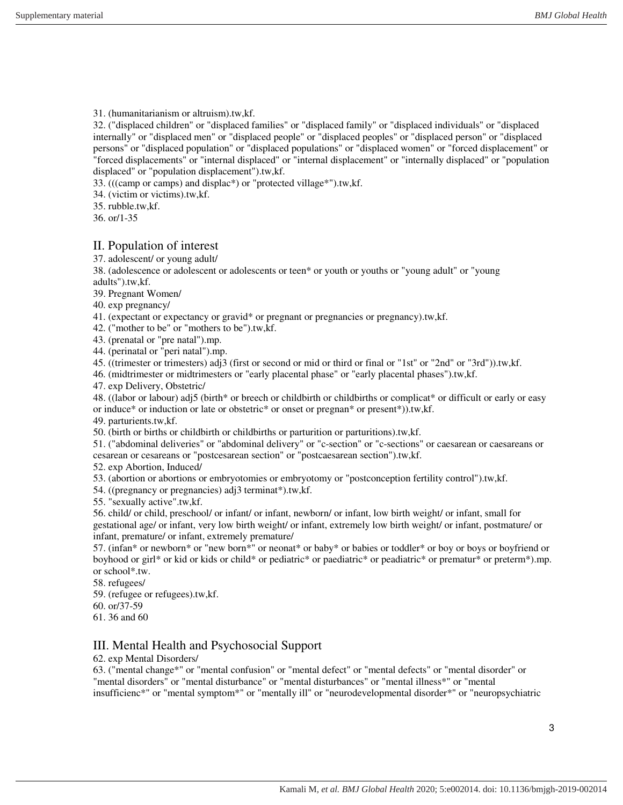31. (humanitarianism or altruism).tw,kf.

32. ("displaced children" or "displaced families" or "displaced family" or "displaced individuals" or "displaced internally" or "displaced men" or "displaced people" or "displaced peoples" or "displaced person" or "displaced persons" or "displaced population" or "displaced populations" or "displaced women" or "forced displacement" or "forced displacements" or "internal displaced" or "internal displacement" or "internally displaced" or "population displaced" or "population displacement").tw,kf.

33. (((camp or camps) and displac\*) or "protected village\*").tw,kf.

34. (victim or victims).tw,kf.

35. rubble.tw,kf.

36. or/1-35

### II. Population of interest

37. adolescent/ or young adult/

38. (adolescence or adolescent or adolescents or teen\* or youth or youths or "young adult" or "young adults").tw,kf.

39. Pregnant Women/

40. exp pregnancy/

41. (expectant or expectancy or gravid\* or pregnant or pregnancies or pregnancy).tw,kf.

42. ("mother to be" or "mothers to be").tw,kf.

43. (prenatal or "pre natal").mp.

44. (perinatal or "peri natal").mp.

45. ((trimester or trimesters) adj3 (first or second or mid or third or final or "1st" or "2nd" or "3rd")).tw,kf.

46. (midtrimester or midtrimesters or "early placental phase" or "early placental phases").tw,kf.

47. exp Delivery, Obstetric/

48. ((labor or labour) adj5 (birth\* or breech or childbirth or childbirths or complicat\* or difficult or early or easy or induce\* or induction or late or obstetric\* or onset or pregnan\* or present\*)).tw,kf.

49. parturients.tw,kf.

50. (birth or births or childbirth or childbirths or parturition or parturitions).tw,kf.

51. ("abdominal deliveries" or "abdominal delivery" or "c-section" or "c-sections" or caesarean or caesareans or cesarean or cesareans or "postcesarean section" or "postcaesarean section").tw,kf.

52. exp Abortion, Induced/

53. (abortion or abortions or embryotomies or embryotomy or "postconception fertility control").tw,kf.

54. ((pregnancy or pregnancies) adj3 terminat\*).tw,kf.

55. "sexually active".tw,kf.

56. child/ or child, preschool/ or infant/ or infant, newborn/ or infant, low birth weight/ or infant, small for gestational age/ or infant, very low birth weight/ or infant, extremely low birth weight/ or infant, postmature/ or infant, premature/ or infant, extremely premature/

57. (infan\* or newborn\* or "new born\*" or neonat\* or baby\* or babies or toddler\* or boy or boys or boyfriend or boyhood or girl\* or kid or kids or child\* or pediatric\* or paediatric\* or peadiatric\* or prematur\* or preterm\*).mp. or school\*.tw.

58. refugees/

59. (refugee or refugees).tw,kf.

60. or/37-59

61. 36 and 60

#### III. Mental Health and Psychosocial Support

62. exp Mental Disorders/

63. ("mental change\*" or "mental confusion" or "mental defect" or "mental defects" or "mental disorder" or "mental disorders" or "mental disturbance" or "mental disturbances" or "mental illness\*" or "mental insufficienc\*" or "mental symptom\*" or "mentally ill" or "neurodevelopmental disorder\*" or "neuropsychiatric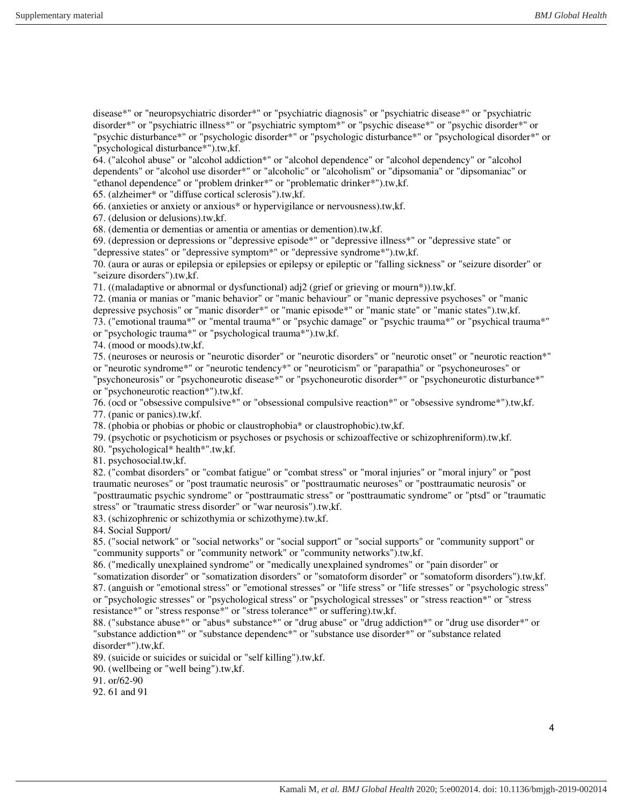disease\*" or "neuropsychiatric disorder\*" or "psychiatric diagnosis" or "psychiatric disease\*" or "psychiatric disorder\*" or "psychiatric illness\*" or "psychiatric symptom\*" or "psychic disease\*" or "psychic disorder\*" or "psychic disturbance\*" or "psychologic disorder\*" or "psychologic disturbance\*" or "psychological disorder\*" or "psychological disturbance\*").tw,kf.

64. ("alcohol abuse" or "alcohol addiction\*" or "alcohol dependence" or "alcohol dependency" or "alcohol dependents" or "alcohol use disorder\*" or "alcoholic" or "alcoholism" or "dipsomania" or "dipsomaniac" or "ethanol dependence" or "problem drinker\*" or "problematic drinker\*").tw,kf.

65. (alzheimer\* or "diffuse cortical sclerosis").tw,kf.

66. (anxieties or anxiety or anxious\* or hypervigilance or nervousness).tw,kf.

67. (delusion or delusions).tw,kf.

68. (dementia or dementias or amentia or amentias or demention).tw,kf.

69. (depression or depressions or "depressive episode\*" or "depressive illness\*" or "depressive state" or "depressive states" or "depressive symptom\*" or "depressive syndrome\*").tw,kf.

70. (aura or auras or epilepsia or epilepsies or epilepsy or epileptic or "falling sickness" or "seizure disorder" or "seizure disorders").tw,kf.

71. ((maladaptive or abnormal or dysfunctional) adj2 (grief or grieving or mourn\*)).tw,kf.

72. (mania or manias or "manic behavior" or "manic behaviour" or "manic depressive psychoses" or "manic depressive psychosis" or "manic disorder\*" or "manic episode\*" or "manic state" or "manic states").tw,kf. 73. ("emotional trauma\*" or "mental trauma\*" or "psychic damage" or "psychic trauma\*" or "psychical trauma\*"

or "psychologic trauma\*" or "psychological trauma\*").tw,kf.

74. (mood or moods).tw,kf.

75. (neuroses or neurosis or "neurotic disorder" or "neurotic disorders" or "neurotic onset" or "neurotic reaction\*" or "neurotic syndrome\*" or "neurotic tendency\*" or "neuroticism" or "parapathia" or "psychoneuroses" or "psychoneurosis" or "psychoneurotic disease\*" or "psychoneurotic disorder\*" or "psychoneurotic disturbance\*"

or "psychoneurotic reaction\*").tw,kf.

76. (ocd or "obsessive compulsive\*" or "obsessional compulsive reaction\*" or "obsessive syndrome\*").tw,kf.

77. (panic or panics).tw,kf.

78. (phobia or phobias or phobic or claustrophobia\* or claustrophobic).tw,kf.

79. (psychotic or psychoticism or psychoses or psychosis or schizoaffective or schizophreniform).tw,kf.

80. "psychological\* health\*".tw,kf.

81. psychosocial.tw,kf.

82. ("combat disorders" or "combat fatigue" or "combat stress" or "moral injuries" or "moral injury" or "post traumatic neuroses" or "post traumatic neurosis" or "posttraumatic neuroses" or "posttraumatic neurosis" or "posttraumatic psychic syndrome" or "posttraumatic stress" or "posttraumatic syndrome" or "ptsd" or "traumatic stress" or "traumatic stress disorder" or "war neurosis").tw,kf.

83. (schizophrenic or schizothymia or schizothyme).tw,kf.

84. Social Support/

85. ("social network" or "social networks" or "social support" or "social supports" or "community support" or "community supports" or "community network" or "community networks").tw,kf.

86. ("medically unexplained syndrome" or "medically unexplained syndromes" or "pain disorder" or "somatization disorder" or "somatization disorders" or "somatoform disorder" or "somatoform disorders").tw,kf. 87. (anguish or "emotional stress" or "emotional stresses" or "life stress" or "life stresses" or "psychologic stress" or "psychologic stresses" or "psychological stress" or "psychological stresses" or "stress reaction\*" or "stress resistance\*" or "stress response\*" or "stress tolerance\*" or suffering).tw,kf.

88. ("substance abuse\*" or "abus\* substance\*" or "drug abuse" or "drug addiction\*" or "drug use disorder\*" or "substance addiction\*" or "substance dependenc\*" or "substance use disorder\*" or "substance related disorder\*").tw,kf.

89. (suicide or suicides or suicidal or "self killing").tw,kf.

90. (wellbeing or "well being").tw,kf.

91. or/62-90

92. 61 and 91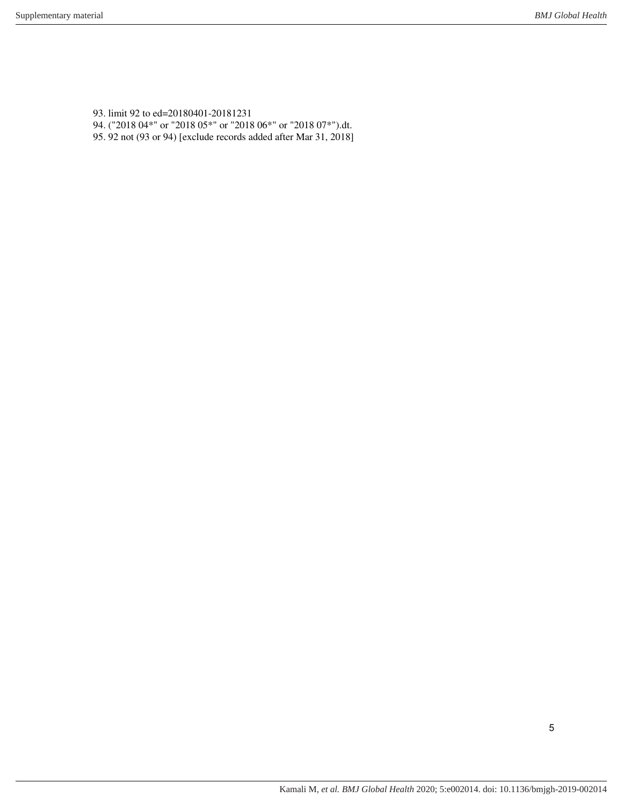93. limit 92 to ed=20180401-20181231 94. ("2018 04\*" or "2018 05\*" or "2018 06\*" or "2018 07\*").dt. 95. 92 not (93 or 94) [exclude records added after Mar 31, 2018]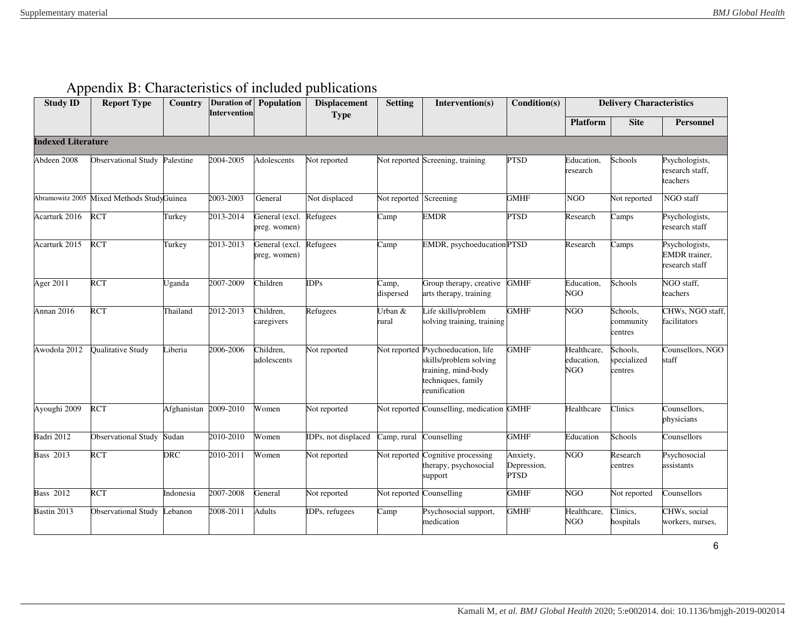<span id="page-5-0"></span>

| <b>Study ID</b>           | <b>Report Type</b>         | Country     | <b>Intervention</b> | <b>Duration of Population</b>  | <b>Displacement</b><br><b>Type</b> | <b>Setting</b>           | Intervention(s)                                                                                                            | Condition(s)                           |                                         | <b>Delivery Characteristics</b>    |                                                          |
|---------------------------|----------------------------|-------------|---------------------|--------------------------------|------------------------------------|--------------------------|----------------------------------------------------------------------------------------------------------------------------|----------------------------------------|-----------------------------------------|------------------------------------|----------------------------------------------------------|
|                           |                            |             |                     |                                |                                    |                          |                                                                                                                            |                                        | <b>Platform</b>                         | <b>Site</b>                        | <b>Personnel</b>                                         |
| <b>Indexed Literature</b> |                            |             |                     |                                |                                    |                          |                                                                                                                            |                                        |                                         |                                    |                                                          |
| Abdeen 2008               | <b>Observational Study</b> | Palestine   | 2004-2005           | Adolescents                    | Not reported                       |                          | Not reported Screening, training                                                                                           | <b>PTSD</b>                            | Education,<br>research                  | Schools                            | Psychologists,<br>research staff,<br>teachers            |
| Abramowitz 2005           | Mixed Methods StudyGuinea  |             | 2003-2003           | General                        | Not displaced                      | Not reported Screening   |                                                                                                                            | <b>GMHF</b>                            | <b>NGO</b>                              | Not reported                       | NGO staff                                                |
| Acarturk 2016             | <b>RCT</b>                 | Turkey      | 2013-2014           | General (excl.<br>preg. women) | Refugees                           | Camp                     | <b>EMDR</b>                                                                                                                | <b>PTSD</b>                            | Research                                | Camps                              | Psychologists,<br>research staff                         |
| Acarturk 2015             | <b>RCT</b>                 | Turkey      | 2013-2013           | General (excl.<br>preg, women) | Refugees                           | Camp                     | EMDR, psychoeducation PTSD                                                                                                 |                                        | Research                                | $\overline{\mathrm{C}}$ amps       | Psychologists,<br><b>EMDR</b> trainer,<br>research staff |
| Ager 2011                 | <b>RCT</b>                 | Uganda      | 2007-2009           | Children                       | <b>IDPs</b>                        | Camp,<br>dispersed       | Group therapy, creative<br>arts therapy, training                                                                          | <b>GMHF</b>                            | Education,<br><b>NGO</b>                | Schools                            | NGO staff,<br>teachers                                   |
| Annan 2016                | <b>RCT</b>                 | Thailand    | 2012-2013           | Children,<br>caregivers        | Refugees                           | Urban &<br>rural         | Life skills/problem<br>solving training, training                                                                          | <b>GMHF</b>                            | <b>NGO</b>                              | Schools.<br>community<br>centres   | CHWs, NGO staff,<br>facilitators                         |
| Awodola 2012              | Qualitative Study          | Liberia     | 2006-2006           | Children,<br>adolescents       | Not reported                       |                          | Not reported Psychoeducation, life<br>skills/problem solving<br>training, mind-body<br>techniques, family<br>reunification | <b>GMHF</b>                            | Healthcare,<br>education,<br><b>NGO</b> | Schools,<br>specialized<br>centres | Counsellors, NGO<br>staff                                |
| Ayoughi 2009              | RCT                        | Afghanistan | 2009-2010           | Women                          | Not reported                       |                          | Not reported Counselling, medication GMHF                                                                                  |                                        | Healthcare                              | Clinics                            | Counsellors,<br>physicians                               |
| Badri 2012                | <b>Observational Study</b> | Sudan       | 2010-2010           | Women                          | IDPs, not displaced                | Camp, rural              | Counselling                                                                                                                | <b>GMHF</b>                            | Education                               | Schools                            | Counsellors                                              |
| <b>Bass 2013</b>          | <b>RCT</b>                 | DRC         | 2010-2011           | Women                          | Not reported                       | Not reported             | Cognitive processing<br>therapy, psychosocial<br>support                                                                   | Anxiety,<br>Depression,<br><b>PTSD</b> | <b>NGO</b>                              | Research<br>centres                | Psychosocial<br>assistants                               |
| <b>Bass 2012</b>          | <b>RCT</b>                 | Indonesia   | 2007-2008           | General                        | Not reported                       | Not reported Counselling |                                                                                                                            | <b>GMHF</b>                            | <b>NGO</b>                              | Not reported                       | Counsellors                                              |
| Bastin 2013               | <b>Observational Study</b> | ebanon      | 2008-2011           | Adults                         | IDPs, refugees                     | Camp                     | Psychosocial support,<br>medication                                                                                        | <b>GMHF</b>                            | Healthcare,<br><b>NGO</b>               | Clinics,<br>hospitals              | CHWs, social<br>workers, nurses,                         |

# Appendix B: Characteristics of included publications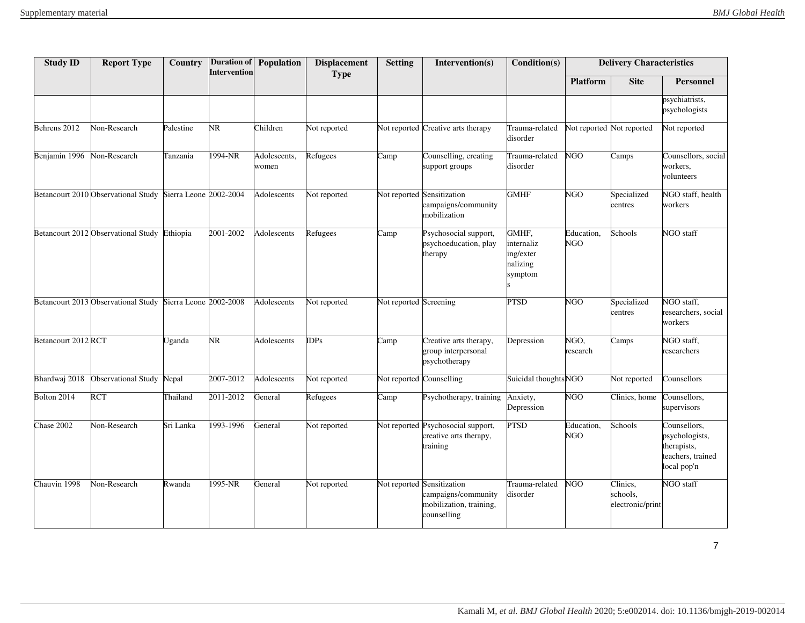| <b>Study ID</b>     | <b>Report Type</b>                                         | <b>Country</b> | <b>Intervention</b>    | Duration of Population | <b>Displacement</b><br><b>Type</b> | <b>Setting</b>           | Intervention(s)                                                                             | Condition(s)                                            |                          | <b>Delivery Characteristics</b>          |                                                                                   |
|---------------------|------------------------------------------------------------|----------------|------------------------|------------------------|------------------------------------|--------------------------|---------------------------------------------------------------------------------------------|---------------------------------------------------------|--------------------------|------------------------------------------|-----------------------------------------------------------------------------------|
|                     |                                                            |                |                        |                        |                                    |                          |                                                                                             |                                                         | <b>Platform</b>          | <b>Site</b>                              | <b>Personnel</b>                                                                  |
|                     |                                                            |                |                        |                        |                                    |                          |                                                                                             |                                                         |                          |                                          | psychiatrists,<br>psychologists                                                   |
| Behrens 2012        | Non-Research                                               | Palestine      | $\overline{\text{NR}}$ | Children               | Not reported                       |                          | Not reported Creative arts therapy                                                          | Trauma-related<br>disorder                              |                          | Not reported Not reported                | Not reported                                                                      |
| Benjamin 1996       | Non-Research                                               | Tanzania       | 1994-NR                | Adolescents,<br>women  | Refugees                           | Camp                     | Counselling, creating<br>support groups                                                     | Trauma-related<br>disorder                              | <b>NGO</b>               | Camps                                    | Counsellors, social<br>workers,<br>volunteers                                     |
|                     | Betancourt 2010 Observational Study Sierra Leone 2002-2004 |                |                        | Adolescents            | Not reported                       |                          | Not reported Sensitization<br>campaigns/community<br>mobilization                           | <b>GMHF</b>                                             | <b>NGO</b>               | Specialized<br>centres                   | NGO staff, health<br>workers                                                      |
|                     | Betancourt 2012 Observational Study                        | Ethiopia       | 2001-2002              | Adolescents            | Refugees                           | Camp                     | Psychosocial support,<br>psychoeducation, play<br>therapy                                   | GMHF,<br>internaliz<br>ing/exter<br>nalizing<br>symptom | Education,<br><b>NGO</b> | Schools                                  | NGO staff                                                                         |
|                     | Betancourt 2013 Observational Study Sierra Leone 2002-2008 |                |                        | Adolescents            | Not reported                       | Not reported Screening   |                                                                                             | <b>PTSD</b>                                             | <b>NGO</b>               | Specialized<br>centres                   | NGO staff,<br>researchers, social<br>workers                                      |
| Betancourt 2012 RCT |                                                            | Jganda         | $\overline{\text{NR}}$ | Adolescents            | IDPs                               | Camp                     | Creative arts therapy,<br>group interpersonal<br>psychotherapy                              | Depression                                              | NGO,<br>research         | Camps                                    | NGO staff,<br>researchers                                                         |
| Bhardwaj 2018       | <b>Observational Study</b>                                 | Nepal          | 2007-2012              | Adolescents            | Not reported                       | Not reported Counselling |                                                                                             | Suicidal thoughts NGO                                   |                          | Not reported                             | Counsellors                                                                       |
| Bolton 2014         | RCT                                                        | Thailand       | 2011-2012              | General                | Refugees                           | Camp                     | Psychotherapy, training                                                                     | Anxiety,<br>Depression                                  | <b>NGO</b>               | Clinics, home                            | Counsellors,<br>supervisors                                                       |
| Chase 2002          | Non-Research                                               | Sri Lanka      | 1993-1996              | General                | Not reported                       |                          | Not reported Psychosocial support,<br>creative arts therapy,<br>training                    | <b>PTSD</b>                                             | Education,<br><b>NGO</b> | Schools                                  | Counsellors,<br>psychologists,<br>therapists,<br>teachers, trained<br>local pop'n |
| Chauvin 1998        | Non-Research                                               | Rwanda         | 1995-NR                | General                | Not reported                       |                          | Not reported Sensitization<br>campaigns/community<br>mobilization, training,<br>counselling | Trauma-related<br>disorder                              | <b>NGO</b>               | Clinics,<br>schools,<br>electronic/print | NGO staff                                                                         |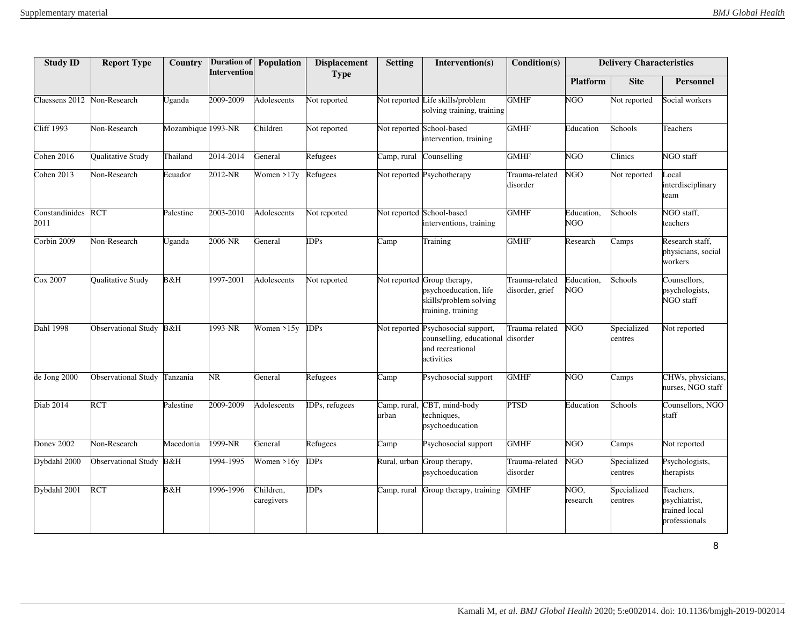| <b>Study ID</b>        | <b>Report Type</b>         | Country            | <b>Intervention</b>    | <b>Duration of Population</b> | <b>Displacement</b> | <b>Setting</b>        | Intervention(s)                                                                                           | Condition(s)                      |                          | <b>Delivery Characteristics</b> |                                                              |
|------------------------|----------------------------|--------------------|------------------------|-------------------------------|---------------------|-----------------------|-----------------------------------------------------------------------------------------------------------|-----------------------------------|--------------------------|---------------------------------|--------------------------------------------------------------|
|                        |                            |                    |                        |                               | <b>Type</b>         |                       |                                                                                                           |                                   | <b>Platform</b>          | <b>Site</b>                     | <b>Personnel</b>                                             |
| Claessens 2012         | Non-Research               | Jganda             | 2009-2009              | Adolescents                   | Not reported        |                       | Not reported Life skills/problem<br>solving training, training                                            | <b>GMHF</b>                       | <b>NGO</b>               | Not reported                    | Social workers                                               |
| <b>Cliff 1993</b>      | Non-Research               | Mozambique 1993-NR |                        | $\overline{\text{Children}}$  | Not reported        |                       | Not reported School-based<br>intervention, training                                                       | <b>GMHF</b>                       | Education                | Schools                         | Teachers                                                     |
| Cohen 2016             | Qualitative Study          | Thailand           | 2014-2014              | General                       | Refugees            |                       | Camp, rural Counselling                                                                                   | <b>GMHF</b>                       | NGO                      | Clinics                         | NGO staff                                                    |
| Cohen 2013             | Non-Research               | Ecuador            | 2012-NR                | Women $>17y$                  | Refugees            |                       | Not reported Psychotherapy                                                                                | Trauma-related<br>disorder        | <b>NGO</b>               | Not reported                    | Local<br>interdisciplinary<br>team                           |
| Constandinides<br>2011 | <b>RCT</b>                 | Palestine          | 2003-2010              | Adolescents                   | Not reported        |                       | Not reported School-based<br>interventions, training                                                      | <b>GMHF</b>                       | Education,<br><b>NGO</b> | Schools                         | NGO staff,<br>teachers                                       |
| Corbin 2009            | Non-Research               | <b>Jganda</b>      | 2006-NR                | General                       | DPs                 | Camp                  | Training                                                                                                  | <b>GMHF</b>                       | Research                 | Camps                           | Research staff,<br>physicians, social<br>workers             |
| Cox 2007               | Qualitative Study          | B&H                | 1997-2001              | Adolescents                   | Not reported        |                       | Not reported Group therapy,<br>psychoeducation, life<br>skills/problem solving<br>training, training      | Trauma-related<br>disorder, grief | Education,<br><b>NGO</b> | Schools                         | Counsellors,<br>psychologists,<br>NGO staff                  |
| Dahl 1998              | Observational Study B&H    |                    | 1993-NR                | Women $>15y$                  | DPs                 |                       | Not reported Psychosocial support,<br>counselling, educational disorder<br>and recreational<br>activities | Trauma-related                    | <b>NGO</b>               | Specialized<br>centres          | Not reported                                                 |
| de Jong 2000           | <b>Observational Study</b> | Tanzania           | $\overline{\text{NR}}$ | General                       | Refugees            | Camp                  | Psychosocial support                                                                                      | <b>GMHF</b>                       | <b>NGO</b>               | Camps                           | CHWs, physicians,<br>nurses, NGO staff                       |
| Diab 2014              | <b>RCT</b>                 | Palestine          | 2009-2009              | Adolescents                   | DPs, refugees       | Camp, rural,<br>urban | CBT, mind-body<br>techniques,<br>psychoeducation                                                          | <b>PTSD</b>                       | Education                | Schools                         | Counsellors, NGO<br>staff                                    |
| Doney 2002             | Non-Research               | Macedonia          | 1999-NR                | General                       | Refugees            | Camp                  | Psychosocial support                                                                                      | <b>GMHF</b>                       | <b>NGO</b>               | Camps                           | Not reported                                                 |
| Dybdahl 2000           | Observational Study        | B&H                | 1994-1995              | Women >16y                    | DPs                 |                       | Rural, urban Group therapy,<br>psychoeducation                                                            | Trauma-related<br>disorder        | NGO                      | Specialized<br>centres          | Psychologists,<br>therapists                                 |
| Dybdahl 2001           | <b>RCT</b>                 | B&H                | 1996-1996              | Children,<br>caregivers       | DPs                 | Camp, rural           | Group therapy, training                                                                                   | <b>GMHF</b>                       | NGO,<br>research         | Specialized<br>entres           | Teachers,<br>psychiatrist,<br>trained local<br>professionals |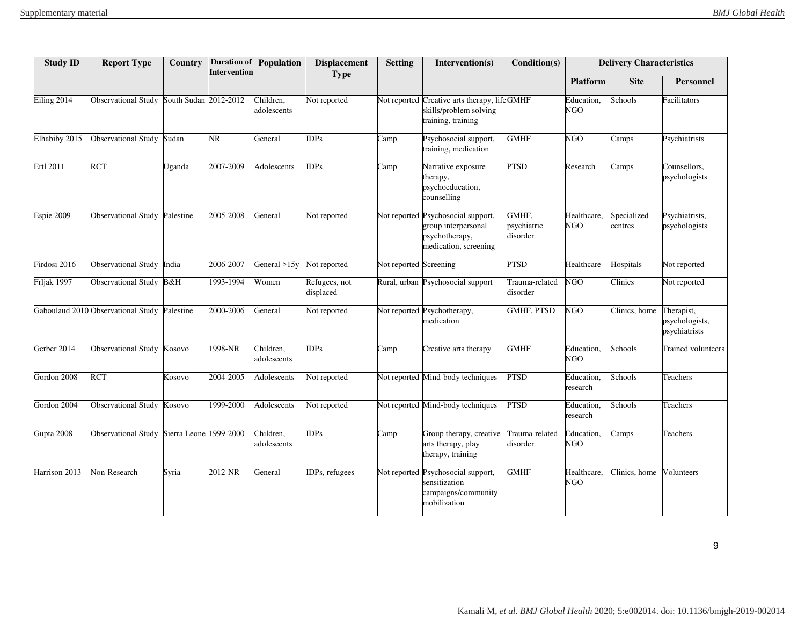| <b>Study ID</b> | <b>Report Type</b>                         | Country               | <b>Intervention</b> | <b>Duration of Population</b> | <b>Displacement</b>        | <b>Setting</b>           | Intervention(s)                                                                                      | Condition(s)                     |                           | <b>Delivery Characteristics</b> |                                               |
|-----------------|--------------------------------------------|-----------------------|---------------------|-------------------------------|----------------------------|--------------------------|------------------------------------------------------------------------------------------------------|----------------------------------|---------------------------|---------------------------------|-----------------------------------------------|
|                 |                                            |                       |                     |                               | <b>Type</b>                |                          |                                                                                                      |                                  | <b>Platform</b>           | <b>Site</b>                     | <b>Personnel</b>                              |
| Eiling 2014     | <b>Observational Study</b>                 | South Sudan 2012-2012 |                     | Children,<br>adolescents      | Not reported               |                          | Not reported Creative arts therapy, lifeGMHF<br>skills/problem solving<br>training, training         |                                  | Education,<br>NGO         | Schools                         | Facilitators                                  |
| Elhabiby 2015   | <b>Observational Study</b>                 | Sudan                 | NR.                 | General                       | DPs                        | Camp                     | Psychosocial support,<br>training, medication                                                        | <b>GMHF</b>                      | <b>NGO</b>                | Camps                           | Psychiatrists                                 |
| Ertl 2011       | RCT                                        | Jganda                | 2007-2009           | Adolescents                   | DPs                        | Camp                     | Narrative exposure<br>therapy,<br>psychoeducation,<br>counselling                                    | <b>PTSD</b>                      | Research                  | Camps                           | Counsellors,<br>psychologists                 |
| Espie 2009      | <b>Observational Study</b>                 | Palestine             | 2005-2008           | General                       | Not reported               |                          | Not reported Psychosocial support,<br>group interpersonal<br>psychotherapy,<br>medication, screening | GMHF,<br>psychiatric<br>disorder | Healthcare,<br><b>NGO</b> | Specialized<br>centres          | Psychiatrists,<br>psychologists               |
| Firdosi 2016    | <b>Observational Study</b>                 | India                 | 2006-2007           | General $>15y$                | Not reported               | Not reported Screening   |                                                                                                      | <b>PTSD</b>                      | Healthcare                | Hospitals                       | Not reported                                  |
| Frljak 1997     | Observational Study B&H                    |                       | 1993-1994           | Women                         | Refugees, not<br>displaced |                          | Rural, urban Psychosocial support                                                                    | Trauma-related<br>disorder       | <b>NGO</b>                | Clinics                         | Not reported                                  |
|                 | Gaboulaud 2010 Observational Study         | Palestine             | 2000-2006           | General                       | Not reported               |                          | Not reported Psychotherapy,<br>medication                                                            | <b>GMHF, PTSD</b>                | <b>NGO</b>                | Clinics, home                   | Therapist,<br>psychologists,<br>psychiatrists |
| Gerber 2014     | <b>Observational Study</b>                 | Kosovo                | 1998-NR             | Children.<br>adolescents      | $\overline{DPs}$           | $\overline{\text{Camp}}$ | Creative arts therapy                                                                                | <b>GMHF</b>                      | Education,<br><b>NGO</b>  | Schools                         | <b>Trained volunteers</b>                     |
| Gordon 2008     | <b>RCT</b>                                 | Kosovo                | 2004-2005           | <b>Adolescents</b>            | Not reported               |                          | Not reported Mind-body techniques                                                                    | <b>PTSD</b>                      | Education,<br>research    | Schools                         | Teachers                                      |
| Gordon 2004     | <b>Observational Study</b>                 | Kosovo                | 1999-2000           | <b>Adolescents</b>            | Vot reported               |                          | Not reported Mind-body techniques                                                                    | <b>PTSD</b>                      | Education,<br>research    | Schools                         | Teachers                                      |
| Gupta 2008      | Observational Study Sierra Leone 1999-2000 |                       |                     | Children,<br>adolescents      | DPs                        | Camp                     | Group therapy, creative<br>arts therapy, play<br>therapy, training                                   | Trauma-related<br>disorder       | Education,<br>NGO         | Camps                           | Teachers                                      |
| Harrison 2013   | Non-Research                               | Syria                 | 2012-NR             | General                       | DPs, refugees              |                          | Not reported Psychosocial support,<br>sensitization<br>campaigns/community<br>mobilization           | <b>GMHF</b>                      | Healthcare,<br><b>NGO</b> | Clinics, home                   | Volunteers                                    |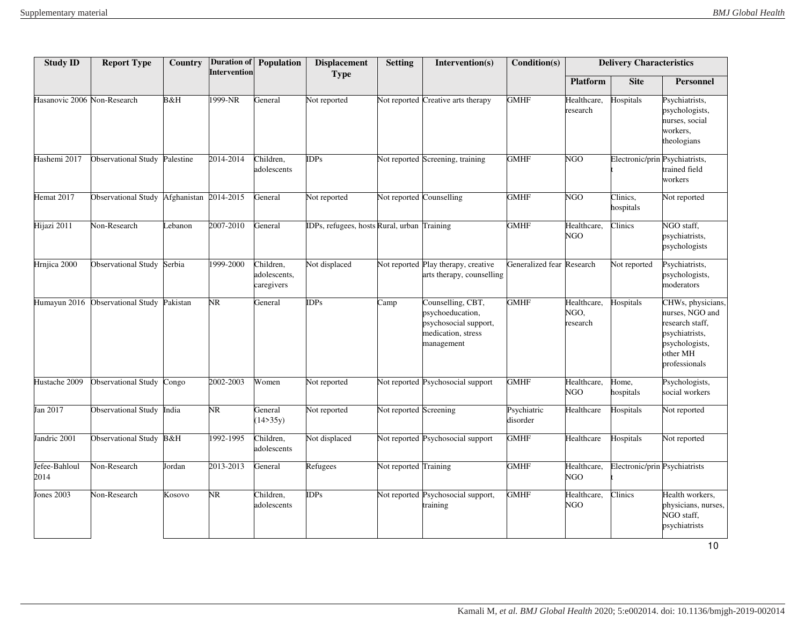| <b>Study ID</b>             | <b>Report Type</b>              | Country  | Intervention | <b>Duration of Population</b>           | <b>Displacement</b><br><b>Type</b>         | <b>Setting</b>           | Intervention(s)                                                                                    | Condition(s)              |                                 | <b>Delivery Characteristics</b> |                                                                                                                          |
|-----------------------------|---------------------------------|----------|--------------|-----------------------------------------|--------------------------------------------|--------------------------|----------------------------------------------------------------------------------------------------|---------------------------|---------------------------------|---------------------------------|--------------------------------------------------------------------------------------------------------------------------|
|                             |                                 |          |              |                                         |                                            |                          |                                                                                                    |                           | <b>Platform</b>                 | <b>Site</b>                     | <b>Personnel</b>                                                                                                         |
| Hasanovic 2006 Non-Research |                                 | B&H      | 1999-NR      | General                                 | Not reported                               |                          | Not reported Creative arts therapy                                                                 | <b>GMHF</b>               | Healthcare,<br>research         | Hospitals                       | Psychiatrists,<br>psychologists,<br>nurses, social<br>workers,<br>theologians                                            |
| Hashemi 2017                | Observational Study Palestine   |          | 2014-2014    | Children,<br>adolescents                | DPs                                        |                          | Not reported Screening, training                                                                   | <b>GMHF</b>               | <b>NGO</b>                      | Electronic/prin Psychiatrists,  | trained field<br>workers                                                                                                 |
| Hemat 2017                  | Observational Study Afghanistan |          | 2014-2015    | General                                 | Not reported                               | Not reported Counselling |                                                                                                    | <b>GMHF</b>               | NGO                             | Clinics,<br>hospitals           | Not reported                                                                                                             |
| Hijazi 2011                 | Non-Research                    | ebanon   | 2007-2010    | General                                 | DPs, refugees, hosts Rural, urban Training |                          |                                                                                                    | <b>GMHF</b>               | Healthcare,<br>NGO              | Clinics                         | NGO staff,<br>psychiatrists,<br>psychologists                                                                            |
| Hrnjica 2000                | <b>Observational Study</b>      | Serbia   | 1999-2000    | Children,<br>adolescents,<br>caregivers | Not displaced                              |                          | Not reported Play therapy, creative<br>arts therapy, counselling                                   | Generalized fear Research |                                 | Not reported                    | Psychiatrists,<br>psychologists,<br>moderators                                                                           |
| Humayun 2016                | Observational Study             | Pakistan | NR.          | General                                 | DPs                                        | Camp                     | Counselling, CBT,<br>psychoeducation,<br>psychosocial support,<br>medication, stress<br>management | <b>GMHF</b>               | Healthcare,<br>NGO,<br>research | Hospitals                       | CHWs, physicians,<br>nurses, NGO and<br>research staff,<br>psychiatrists,<br>psychologists,<br>other MH<br>professionals |
| Hustache 2009               | <b>Observational Study</b>      | Congo    | 2002-2003    | Women                                   | Not reported                               |                          | Not reported Psychosocial support                                                                  | <b>GMHF</b>               | Healthcare,<br>NGO              | Home,<br>hospitals              | Psychologists,<br>social workers                                                                                         |
| Jan 2017                    | Observational Study             | India    | NR           | General<br>(14>35y)                     | Not reported                               | Not reported Screening   |                                                                                                    | Psychiatric<br>disorder   | Healthcare                      | Hospitals                       | Not reported                                                                                                             |
| Jandric 2001                | Observational Study B&H         |          | 1992-1995    | Children,<br>adolescents                | Not displaced                              |                          | Not reported Psychosocial support                                                                  | <b>GMHF</b>               | Healthcare                      | Hospitals                       | Not reported                                                                                                             |
| Jefee-Bahloul<br>2014       | Non-Research                    | Jordan   | 2013-2013    | General                                 | Refugees                                   | Not reported Training    |                                                                                                    | <b>GMHF</b>               | Healthcare,<br><b>NGO</b>       | Electronic/prin Psychiatrists   |                                                                                                                          |
| Jones 2003                  | Non-Research                    | Kosovo   | NR.          | Children,<br>adolescents                | <b>DPs</b>                                 |                          | Not reported Psychosocial support,<br>training                                                     | <b>GMHF</b>               | Healthcare,<br><b>NGO</b>       | Clinics                         | Health workers,<br>physicians, nurses,<br>NGO staff,<br>psychiatrists                                                    |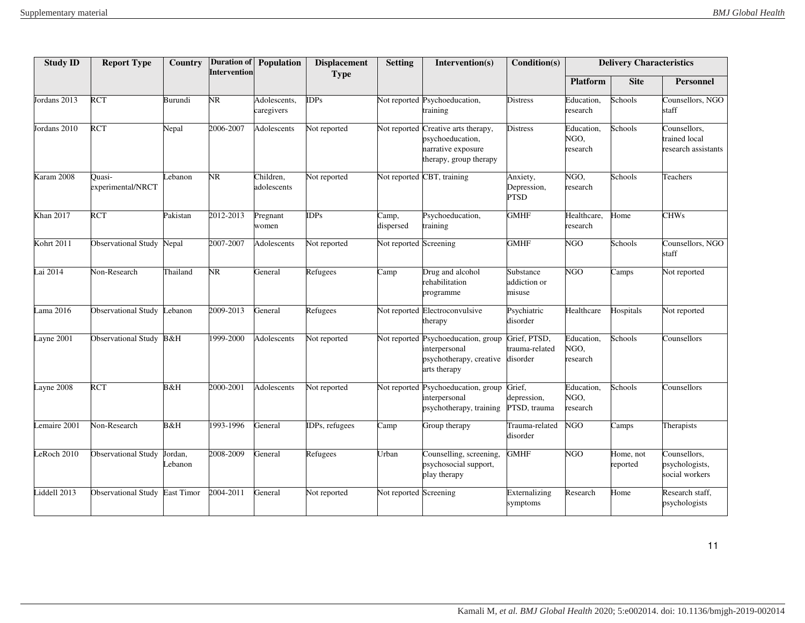| <b>Study ID</b>  | <b>Report Type</b>          | Country           | Intervention | Duration of Population     | <b>Displacement</b><br><b>Type</b> | <b>Setting</b>         | Intervention(s)                                                                                         | Condition(s)                               |                                | <b>Delivery Characteristics</b> |                                                      |
|------------------|-----------------------------|-------------------|--------------|----------------------------|------------------------------------|------------------------|---------------------------------------------------------------------------------------------------------|--------------------------------------------|--------------------------------|---------------------------------|------------------------------------------------------|
|                  |                             |                   |              |                            |                                    |                        |                                                                                                         |                                            | <b>Platform</b>                | <b>Site</b>                     | Personnel                                            |
| Jordans 2013     | <b>RCT</b>                  | Burundi           | NR           | Adolescents,<br>caregivers | <b>DPs</b>                         |                        | Not reported Psychoeducation,<br>training                                                               | <b>Distress</b>                            | Education,<br>research         | Schools                         | Counsellors, NGO<br>staff                            |
| Jordans 2010     | <b>RCT</b>                  | Nepal             | 2006-2007    | Adolescents                | Not reported                       |                        | Not reported Creative arts therapy,<br>psychoeducation,<br>narrative exposure<br>therapy, group therapy | <b>Distress</b>                            | Education,<br>NGO,<br>research | Schools                         | Counsellors,<br>trained local<br>research assistants |
| Karam 2008       | Ouasi-<br>experimental/NRCT | ebanon            | NR           | Children,<br>adolescents   | Not reported                       |                        | Not reported CBT, training                                                                              | Anxiety,<br>Depression,<br><b>PTSD</b>     | NGO,<br>research               | Schools                         | Teachers                                             |
| <b>Khan 2017</b> | <b>RCT</b>                  | Pakistan          | 2012-2013    | Pregnant<br>women          | DPs                                | Camp,<br>dispersed     | Psychoeducation,<br>training                                                                            | <b>GMHF</b>                                | Healthcare,<br>research        | Home                            | <b>CHWs</b>                                          |
| Kohrt 2011       | <b>Observational Study</b>  | Nepal             | 2007-2007    | Adolescents                | Not reported                       | Not reported Screening |                                                                                                         | <b>GMHF</b>                                | <b>NGO</b>                     | Schools                         | Counsellors, NGO<br>staff                            |
| ai 2014          | Non-Research                | Thailand          | NR.          | General                    | Refugees                           | Camp                   | Drug and alcohol<br>rehabilitation<br>programme                                                         | Substance<br>addiction or<br>misuse        | <b>NGO</b>                     | Camps                           | Not reported                                         |
| ama 2016         | <b>Observational Study</b>  | Lebanon           | 2009-2013    | General                    | Refugees                           |                        | Not reported Electroconvulsive<br>therapy                                                               | Psychiatric<br>disorder                    | Healthcare                     | Hospitals                       | Not reported                                         |
| ayne 2001        | <b>Observational Study</b>  | B&H               | 1999-2000    | Adolescents                | Not reported                       |                        | Not reported Psychoeducation, group<br>interpersonal<br>psychotherapy, creative<br>arts therapy         | Grief, PTSD,<br>trauma-related<br>disorder | Education,<br>NGO,<br>research | Schools                         | Counsellors                                          |
| ayne 2008        | <b>RCT</b>                  | B&H               | 2000-2001    | Adolescents                | Not reported                       |                        | Not reported Psychoeducation, group<br>interpersonal<br>psychotherapy, training                         | Grief.<br>depression,<br>PTSD, trauma      | Education,<br>NGO,<br>research | Schools                         | Counsellors                                          |
| emaire 2001      | Non-Research                | B&H               | 1993-1996    | General                    | DPs, refugees                      | Camp                   | Group therapy                                                                                           | Trauma-related<br>disorder                 | NGO                            | Camps                           | Therapists                                           |
| eRoch 2010       | <b>Observational Study</b>  | Jordan,<br>ebanon | 2008-2009    | General                    | Refugees                           | Urban                  | Counselling, screening,<br>psychosocial support,<br>play therapy                                        | <b>GMHF</b>                                | <b>NGO</b>                     | Home, not<br>reported           | Counsellors,<br>psychologists,<br>social workers     |
| iddell 2013      | <b>Observational Study</b>  | East Timor        | 2004-2011    | General                    | Not reported                       | Not reported Screening |                                                                                                         | Externalizing<br>symptoms                  | Research                       | Home                            | Research staff,<br>psychologists                     |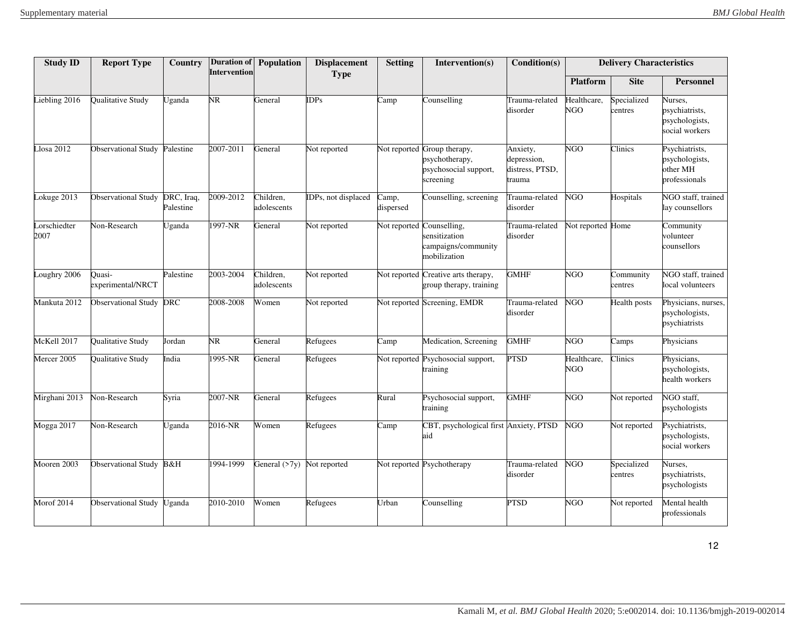| <b>Study ID</b>     | <b>Report Type</b>            | Country                 | <b>Intervention</b>    | <b>Duration of Population</b> | <b>Displacement</b><br><b>Type</b> | <b>Setting</b>     | Intervention(s)                                                                     | Condition(s)                                         |                           | <b>Delivery Characteristics</b> |                                                               |
|---------------------|-------------------------------|-------------------------|------------------------|-------------------------------|------------------------------------|--------------------|-------------------------------------------------------------------------------------|------------------------------------------------------|---------------------------|---------------------------------|---------------------------------------------------------------|
|                     |                               |                         |                        |                               |                                    |                    |                                                                                     |                                                      | <b>Platform</b>           | <b>Site</b>                     | <b>Personnel</b>                                              |
| iebling 2016        | Qualitative Study             | Jganda                  | NR.                    | General                       | DPs                                | Camp               | Counselling                                                                         | Trauma-related<br>disorder                           | Healthcare,<br><b>NGO</b> | Specialized<br>centres          | Nurses,<br>psychiatrists,<br>psychologists,<br>social workers |
| Llosa 2012          | Observational Study Palestine |                         | 2007-2011              | General                       | Not reported                       |                    | Not reported Group therapy,<br>psychotherapy,<br>psychosocial support,<br>screening | Anxiety,<br>depression,<br>distress, PTSD,<br>trauma | NGO                       | Clinics                         | Psychiatrists,<br>psychologists,<br>other MH<br>professionals |
| okuge 2013          | <b>Observational Study</b>    | DRC, Iraq,<br>Palestine | 2009-2012              | Children,<br>adolescents      | DPs, not displaced                 | Camp,<br>dispersed | Counselling, screening                                                              | Trauma-related<br>disorder                           | <b>NGO</b>                | Hospitals                       | NGO staff, trained<br>lay counsellors                         |
| orschiedter<br>2007 | Non-Research                  | Jganda                  | 1997-NR                | General                       | Not reported                       |                    | Not reported Counselling,<br>sensitization<br>campaigns/community<br>mobilization   | Trauma-related<br>disorder                           | Not reported Home         |                                 | Community<br>volunteer<br>counsellors                         |
| oughry 2006         | Quasi-<br>experimental/NRCT   | Palestine               | 2003-2004              | Children,<br>adolescents      | Not reported                       |                    | Not reported Creative arts therapy,<br>group therapy, training                      | <b>GMHF</b>                                          | <b>NGO</b>                | Community<br>centres            | NGO staff, trained<br>local volunteers                        |
| Mankuta 2012        | <b>Observational Study</b>    | <b>DRC</b>              | 2008-2008              | Women                         | Not reported                       |                    | Not reported Screening, EMDR                                                        | Trauma-related<br>disorder                           | NGO                       | Health posts                    | Physicians, nurses,<br>psychologists,<br>psychiatrists        |
| McKell 2017         | Qualitative Study             | Jordan                  | $\overline{\text{NR}}$ | General                       | Refugees                           | Camp               | Medication, Screening                                                               | <b>GMHF</b>                                          | NGO                       | $\overline{\mathrm{C}}$ amps    | Physicians                                                    |
| Mercer 2005         | Qualitative Study             | India                   | 1995-NR                | General                       | Refugees                           |                    | Not reported Psychosocial support,<br>training                                      | <b>PTSD</b>                                          | Healthcare,<br>NGO        | Clinics                         | Physicians,<br>psychologists,<br>health workers               |
| Mirghani 2013       | Non-Research                  | Syria                   | 2007-NR                | General                       | Refugees                           | Rural              | Psychosocial support,<br>training                                                   | <b>GMHF</b>                                          | <b>NGO</b>                | Not reported                    | NGO staff.<br>psychologists                                   |
| Mogga 2017          | Non-Research                  | Jganda                  | 2016-NR                | Women                         | Refugees                           | Camp               | CBT, psychological first Anxiety, PTSD<br>aid                                       |                                                      | NGO                       | Not reported                    | Psychiatrists,<br>psychologists,<br>social workers            |
| Mooren 2003         | <b>Observational Study</b>    | B&H                     | 1994-1999              | General $(27y)$               | Not reported                       |                    | Not reported Psychotherapy                                                          | Trauma-related<br>disorder                           | NGO                       | Specialized<br>centres          | Nurses,<br>psychiatrists,<br>psychologists                    |
| Morof 2014          | <b>Observational Study</b>    | Jganda                  | 2010-2010              | Women                         | Refugees                           | Urban              | Counselling                                                                         | <b>PTSD</b>                                          | NGO                       | Not reported                    | Mental health<br>professionals                                |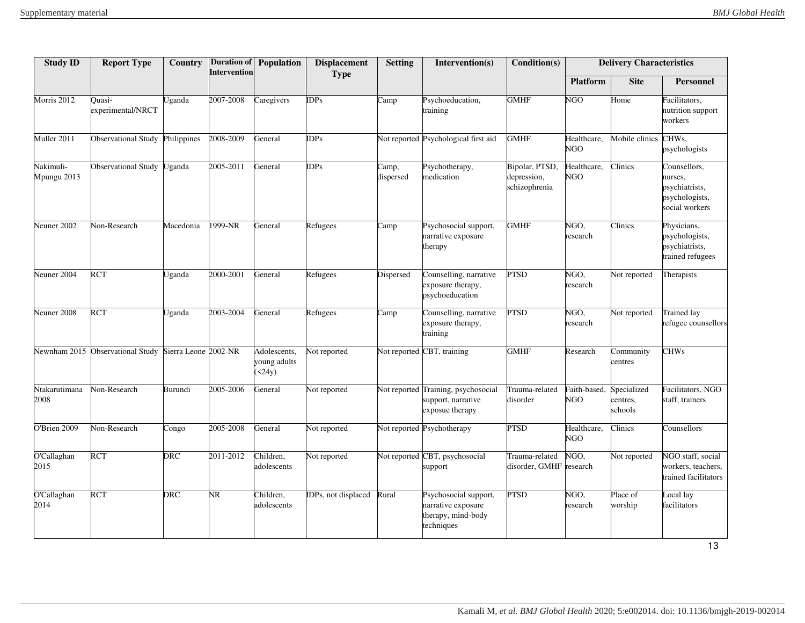| <b>Study ID</b>          | <b>Report Type</b>               | Country              | Intervention | Duration of Population                 | <b>Displacement</b><br><b>Type</b> | <b>Setting</b>     | Intervention(s)                                                                 | Condition(s)                                   |                           | <b>Delivery Characteristics</b>    |                                                                               |
|--------------------------|----------------------------------|----------------------|--------------|----------------------------------------|------------------------------------|--------------------|---------------------------------------------------------------------------------|------------------------------------------------|---------------------------|------------------------------------|-------------------------------------------------------------------------------|
|                          |                                  |                      |              |                                        |                                    |                    |                                                                                 |                                                | <b>Platform</b>           | <b>Site</b>                        | <b>Personnel</b>                                                              |
| Morris 2012              | Ouasi-<br>experimental/NRCT      | Uganda               | 2007-2008    | Caregivers                             | <b>DPs</b>                         | Camp               | Psychoeducation,<br>training                                                    | <b>GMHF</b>                                    | NGO                       | Home                               | Facilitators,<br>nutrition support<br>workers                                 |
| Muller 2011              | <b>Observational Study</b>       | Philippines          | 2008-2009    | General                                | IDPs                               |                    | Not reported Psychological first aid                                            | <b>GMHF</b>                                    | Healthcare,<br><b>NGO</b> | Mobile clinics                     | CHW <sub>s</sub><br>psychologists                                             |
| Nakimuli-<br>Mpungu 2013 | <b>Observational Study</b>       | Uganda               | 2005-2011    | General                                | <b>IDPs</b>                        | Camp,<br>dispersed | Psychotherapy,<br>medication                                                    | Bipolar, PTSD,<br>depression,<br>schizophrenia | Healthcare,<br><b>NGO</b> | $\overline{\text{C}}$ linics       | Counsellors,<br>nurses,<br>psychiatrists,<br>psychologists,<br>social workers |
| Neuner 2002              | Non-Research                     | Macedonia            | 1999-NR      | General                                | Refugees                           | Camp               | Psychosocial support,<br>narrative exposure<br>therapy                          | <b>GMHF</b>                                    | NGO,<br>research          | Clinics                            | Physicians,<br>psychologists,<br>psychiatrists,<br>trained refugees           |
| Neuner $2004$            | <b>RCT</b>                       | Uganda               | 2000-2001    | General                                | Refugees                           | Dispersed          | Counselling, narrative<br>exposure therapy,<br>psychoeducation                  | <b>PTSD</b>                                    | NGO,<br>research          | Not reported                       | Therapists                                                                    |
| Neuner 2008              | <b>RCT</b>                       | Uganda               | 2003-2004    | General                                | Refugees                           | Camp               | Counselling, narrative<br>exposure therapy,<br>training                         | <b>PTSD</b>                                    | NGO,<br>research          | Not reported                       | <b>Trained lay</b><br>refugee counsellors                                     |
|                          | Newnham 2015 Observational Study | Sierra Leone 2002-NR |              | Adolescents,<br>young adults<br>(524y) | Not reported                       |                    | Not reported CBT, training                                                      | <b>GMHF</b>                                    | Research                  | Community<br>centres               | <b>CHWs</b>                                                                   |
| Ntakarutimana<br>2008    | Non-Research                     | Burundi              | 2005-2006    | General                                | Not reported                       |                    | Not reported Training, psychosocial<br>support, narrative<br>exposue therapy    | Trauma-related<br>disorder                     | Faith-based,<br>NGO       | Specialized<br>centres,<br>schools | Facilitators, NGO<br>staff, trainers                                          |
| O'Brien 2009             | Non-Research                     | Congo                | 2005-2008    | General                                | Not reported                       |                    | Not reported Psychotherapy                                                      | <b>PTSD</b>                                    | Healthcare,<br><b>NGO</b> | Clinics                            | Counsellors                                                                   |
| O'Callaghan<br>2015      | <b>RCT</b>                       | DRC                  | 2011-2012    | Children,<br>adolescents               | Not reported                       |                    | Not reported CBT, psychosocial<br>support                                       | Trauma-related<br>disorder, GMHF research      | NGO,                      | Not reported                       | NGO staff, social<br>workers, teachers,<br>trained facilitators               |
| O'Callaghan<br>2014      | <b>RCT</b>                       | DRC                  | NR.          | Children,<br>adolescents               | IDPs, not displaced                | Rural              | Psychosocial support,<br>narrative exposure<br>therapy, mind-body<br>techniques | <b>PTSD</b>                                    | NGO,<br>research          | Place of<br>worship                | Local lay<br>facilitators                                                     |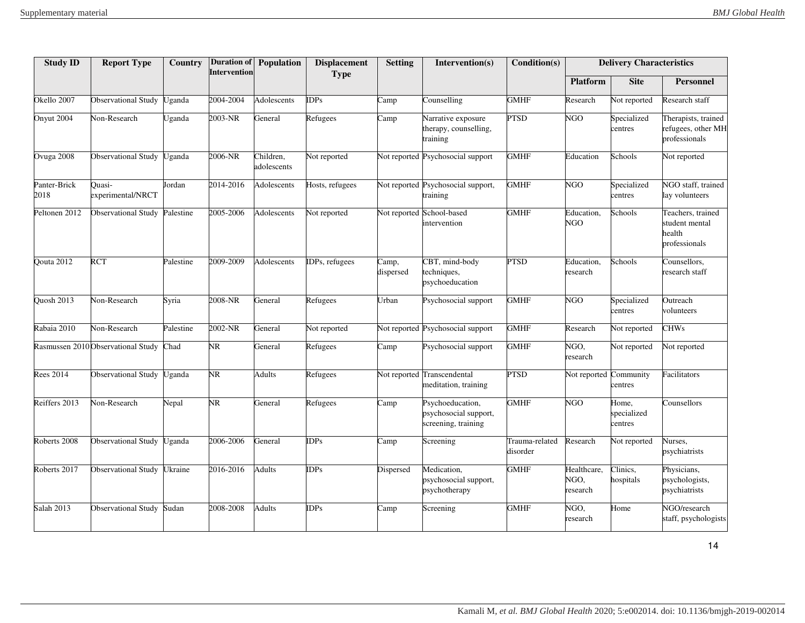| <b>Study ID</b>      | <b>Report Type</b>                | Country       | <b>Intervention</b> | Duration of Population   | <b>Displacement</b><br><b>Type</b> | <b>Setting</b>     | Intervention(s)                                                  | Condition(s)               |                                 | <b>Delivery Characteristics</b> |                                                                |
|----------------------|-----------------------------------|---------------|---------------------|--------------------------|------------------------------------|--------------------|------------------------------------------------------------------|----------------------------|---------------------------------|---------------------------------|----------------------------------------------------------------|
|                      |                                   |               |                     |                          |                                    |                    |                                                                  |                            | <b>Platform</b>                 | <b>Site</b>                     | <b>Personnel</b>                                               |
| Okello 2007          | <b>Observational Study</b>        | Uganda        | 2004-2004           | Adolescents              | <b>IDPs</b>                        | Camp               | Counselling                                                      | <b>GMHF</b>                | Research                        | Not reported                    | Research staff                                                 |
| Onyut 2004           | Non-Research                      | <b>Jganda</b> | 2003-NR             | General                  | Refugees                           | Camp               | Narrative exposure<br>therapy, counselling,<br>training          | PTSD                       | $\overline{\rm NGO}$            | Specialized<br>centres          | Therapists, trained<br>refugees, other MH<br>professionals     |
| Ovuga 2008           | Observational Study               | Uganda        | 2006-NR             | Children.<br>adolescents | Not reported                       |                    | Not reported Psychosocial support                                | <b>GMHF</b>                | Education                       | Schools                         | Not reported                                                   |
| Panter-Brick<br>2018 | Ouasi-<br>experimental/NRCT       | Jordan        | 2014-2016           | Adolescents              | Hosts, refugees                    |                    | Not reported Psychosocial support,<br>training                   | <b>GMHF</b>                | NGO                             | Specialized<br>centres          | NGO staff, trained<br>lay volunteers                           |
| Peltonen 2012        | Observational Study Palestine     |               | 2005-2006           | Adolescents              | Not reported                       |                    | Not reported School-based<br>intervention                        | <b>GMHF</b>                | Education,<br><b>NGO</b>        | Schools                         | Teachers, trained<br>student mental<br>health<br>professionals |
| Qouta 2012           | <b>RCT</b>                        | Palestine     | 2009-2009           | Adolescents              | IDPs, refugees                     | Camp,<br>dispersed | CBT, mind-body<br>techniques,<br>psychoeducation                 | <b>PTSD</b>                | Education,<br>research          | Schools                         | Counsellors,<br>research staff                                 |
| <b>Ouosh 2013</b>    | Non-Research                      | Syria         | 2008-NR             | General                  | Refugees                           | Urban              | Psychosocial support                                             | <b>GMHF</b>                | <b>NGO</b>                      | Specialized<br>centres          | Outreach<br>volunteers                                         |
| Rabaia 2010          | Non-Research                      | Palestine     | 2002-NR             | General                  | Not reported                       |                    | Not reported Psychosocial support                                | <b>GMHF</b>                | Research                        | Not reported                    | <b>CHWs</b>                                                    |
|                      | Rasmussen 2010Observational Study | Chad          | NR.                 | General                  | Refugees                           | Camp               | Psychosocial support                                             | <b>GMHF</b>                | NGO,<br>research                | Not reported                    | Not reported                                                   |
| <b>Rees 2014</b>     | <b>Observational Study</b>        | Jganda        | NR.                 | Adults                   | Refugees                           |                    | Not reported Transcendental<br>meditation, training              | <b>PTSD</b>                | Not reported                    | Community<br>centres            | Facilitators                                                   |
| Reiffers 2013        | Non-Research                      | Nepal         | NR.                 | General                  | Refugees                           | Camp               | Psychoeducation,<br>psychosocial support,<br>screening, training | <b>GMHF</b>                | <b>NGO</b>                      | Home,<br>specialized<br>centres | Counsellors                                                    |
| Roberts 2008         | Observational Study               | Uganda        | 2006-2006           | General                  | <b>DPs</b>                         | Camp               | Screening                                                        | Trauma-related<br>disorder | Research                        | Not reported                    | Nurses,<br>psychiatrists                                       |
| Roberts 2017         | <b>Observational Study</b>        | Jkraine       | 2016-2016           | Adults                   | <b>DPs</b>                         | Dispersed          | Medication,<br>psychosocial support,<br>psychotherapy            | <b>GMHF</b>                | Healthcare,<br>NGO,<br>research | Clinics,<br>hospitals           | Physicians,<br>psychologists,<br>psychiatrists                 |
| <b>Salah 2013</b>    | <b>Observational Study</b>        | Sudan         | 2008-2008           | Adults                   | <b>DPs</b>                         | Camp               | Screening                                                        | <b>GMHF</b>                | NGO,<br>research                | Home                            | NGO/research<br>staff, psychologists                           |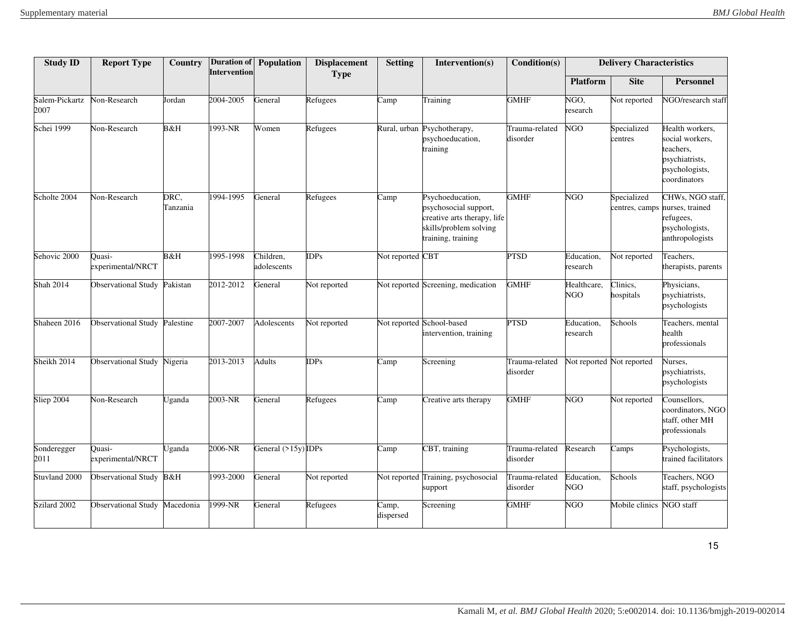| <b>Study ID</b>        | <b>Report Type</b>          | Country          | <b>Intervention</b> | <b>Duration of Population</b> | <b>Displacement</b><br><b>Type</b> | <b>Setting</b>           | Intervention(s)                                                                                                          | Condition(s)               |                        | <b>Delivery Characteristics</b> |                                                                                                     |
|------------------------|-----------------------------|------------------|---------------------|-------------------------------|------------------------------------|--------------------------|--------------------------------------------------------------------------------------------------------------------------|----------------------------|------------------------|---------------------------------|-----------------------------------------------------------------------------------------------------|
|                        |                             |                  |                     |                               |                                    |                          |                                                                                                                          |                            | <b>Platform</b>        | <b>Site</b>                     | Personnel                                                                                           |
| Salem-Pickartz<br>2007 | Non-Research                | <b>Jordan</b>    | 2004-2005           | General                       | Refugees                           | Camp                     | Training                                                                                                                 | <b>GMHF</b>                | NGO,<br>research       | Not reported                    | NGO/research staff                                                                                  |
| Schei 1999             | Non-Research                | B&H              | 1993-NR             | Women                         | Refugees                           |                          | Rural, urban Psychotherapy,<br>psychoeducation,<br>training                                                              | Trauma-related<br>disorder | <b>NGO</b>             | Specialized<br>centres          | Health workers,<br>social workers,<br>teachers,<br>psychiatrists,<br>psychologists,<br>coordinators |
| Scholte 2004           | Non-Research                | DRC,<br>Tanzania | 1994-1995           | General                       | Refugees                           | Camp                     | Psychoeducation,<br>psychosocial support,<br>creative arts therapy, life<br>skills/problem solving<br>training, training | <b>GMHF</b>                | NGO                    | Specialized<br>centres, camps   | CHWs, NGO staff,<br>nurses, trained<br>refugees,<br>psychologists,<br>anthropologists               |
| Sehovic 2000           | Ouasi-<br>experimental/NRCT | B&H              | 1995-1998           | Children,<br>adolescents      | <b>DPs</b>                         | Not reported CBT         |                                                                                                                          | <b>PTSD</b>                | Education,<br>research | Not reported                    | Teachers,<br>therapists, parents                                                                    |
| <b>Shah 2014</b>       | <b>Observational Study</b>  | Pakistan         | 2012-2012           | General                       | Not reported                       |                          | Not reported Screening, medication                                                                                       | <b>GMHF</b>                | Healthcare,<br>NGO     | Clinics,<br>nospitals           | Physicians,<br>psychiatrists,<br>psychologists                                                      |
| Shaheen 2016           | <b>Observational Study</b>  | Palestine        | 2007-2007           | Adolescents                   | Not reported                       |                          | Not reported School-based<br>intervention, training                                                                      | <b>PTSD</b>                | Education,<br>research | Schools                         | Teachers, mental<br>health<br>professionals                                                         |
| Sheikh 2014            | <b>Observational Study</b>  | Nigeria          | 2013-2013           | <b>Adults</b>                 | $\overline{DPs}$                   | $\overline{\text{Camp}}$ | Screening                                                                                                                | Trauma-related<br>disorder |                        | Not reported Not reported       | Nurses,<br>psychiatrists,<br>psychologists                                                          |
| Sliep 2004             | Non-Research                | <b>Jganda</b>    | 2003-NR             | General                       | Refugees                           | Camp                     | Creative arts therapy                                                                                                    | <b>GMHF</b>                | NGO                    | Not reported                    | Counsellors,<br>coordinators, NGO<br>staff, other MH<br>professionals                               |
| Sonderegger<br>2011    | Ouasi-<br>experimental/NRCT | <b>Jganda</b>    | 2006-NR             | General $(>15y)$ IDPs         |                                    | $\overline{\text{Camp}}$ | CBT, training                                                                                                            | Trauma-related<br>disorder | Research               | Camps                           | Psychologists,<br>trained facilitators                                                              |
| Stuvland 2000          | Observational Study B&H     |                  | 1993-2000           | General                       | Not reported                       |                          | Not reported Training, psychosocial<br>support                                                                           | Trauma-related<br>disorder | Education,<br>NGO      | Schools                         | Teachers, NGO<br>staff, psychologists                                                               |
| Szilard 2002           | <b>Observational Study</b>  | Macedonia        | 1999-NR             | General                       | Refugees                           | Camp,<br>dispersed       | Screening                                                                                                                | <b>GMHF</b>                | <b>NGO</b>             | Mobile clinics                  | NGO staff                                                                                           |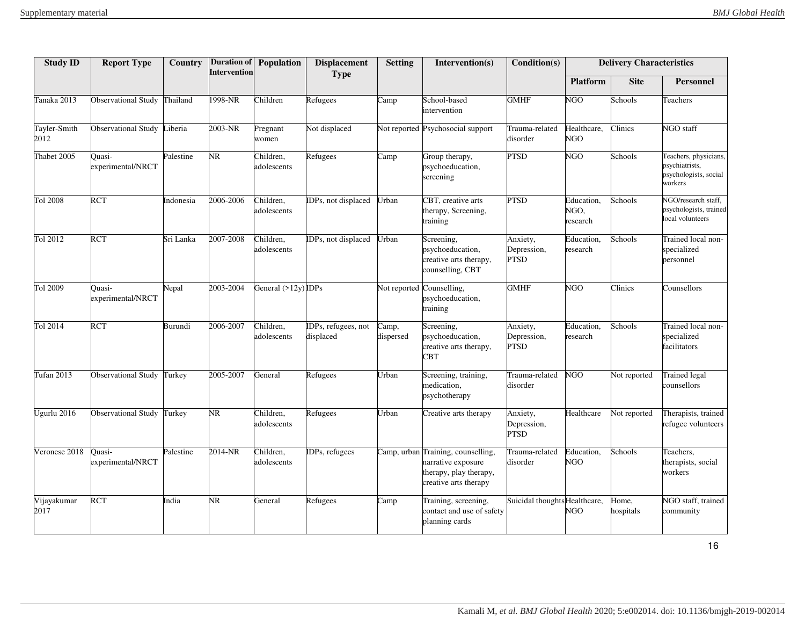| <b>Study ID</b>      | <b>Report Type</b>          | Country       | <b>Intervention</b> | Duration of Population   | <b>Displacement</b><br><b>Type</b> | <b>Setting</b>     | Intervention(s)                                                                                             | Condition(s)                           |                                | <b>Delivery Characteristics</b> |                                                                             |
|----------------------|-----------------------------|---------------|---------------------|--------------------------|------------------------------------|--------------------|-------------------------------------------------------------------------------------------------------------|----------------------------------------|--------------------------------|---------------------------------|-----------------------------------------------------------------------------|
|                      |                             |               |                     |                          |                                    |                    |                                                                                                             |                                        | <b>Platform</b>                | <b>Site</b>                     | <b>Personnel</b>                                                            |
| Tanaka 2013          | Observational Study         | Thailand      | $1998-NR$           | Children                 | Refugees                           | Camp               | School-based<br>intervention                                                                                | <b>GMHF</b>                            | <b>NGO</b>                     | Schools                         | Teachers                                                                    |
| Tayler-Smith<br>2012 | <b>Observational Study</b>  | iberia        | 2003-NR             | Pregnant<br>women        | Not displaced                      |                    | Not reported Psychosocial support                                                                           | Trauma-related<br>disorder             | Healthcare,<br><b>NGO</b>      | Clinics                         | NGO staff                                                                   |
| Thabet 2005          | Ouasi-<br>experimental/NRCT | Palestine     | NR.                 | Children,<br>adolescents | Refugees                           | Camp               | Group therapy,<br>psychoeducation,<br>screening                                                             | <b>PTSD</b>                            | <b>NGO</b>                     | Schools                         | Teachers, physicians,<br>psychiatrists,<br>psychologists, social<br>workers |
| Tol 2008             | <b>RCT</b>                  | Indonesia     | 2006-2006           | Children,<br>adolescents | DPs, not displaced                 | Urban              | CBT, creative arts<br>therapy, Screening,<br>training                                                       | <b>PTSD</b>                            | Education,<br>NGO,<br>research | Schools                         | NGO/research staff.<br>psychologists, trained<br>local volunteers           |
| Tol 2012             | <b>RCT</b>                  | Sri Lanka     | 2007-2008           | Children,<br>adolescents | DPs, not displaced                 | Urban              | Screening,<br>psychoeducation,<br>creative arts therapy,<br>counselling, CBT                                | Anxiety,<br>Depression,<br><b>PTSD</b> | Education,<br>research         | Schools                         | Trained local non-<br>specialized<br>personnel                              |
| Tol 2009             | Ouasi-<br>experimental/NRCT | Nepal         | 2003-2004           | General $(>12y)$ IDPs    |                                    |                    | Not reported Counselling,<br>psychoeducation,<br>training                                                   | <b>GMHF</b>                            | <b>NGO</b>                     | Clinics                         | Counsellors                                                                 |
| Tol 2014             | <b>RCT</b>                  | Burundi       | 2006-2007           | Children,<br>adolescents | DPs, refugees, not<br>displaced    | Camp,<br>dispersed | Screening,<br>psychoeducation,<br>creative arts therapy,<br><b>CBT</b>                                      | Anxiety,<br>Depression,<br>PTSD        | Education,<br>research         | Schools                         | Trained local non-<br>specialized<br>facilitators                           |
| Tufan 2013           | <b>Observational Study</b>  | <b>Turkey</b> | 2005-2007           | General                  | Refugees                           | Urban              | Screening, training,<br>medication,<br>psychotherapy                                                        | Trauma-related<br>disorder             | NGO                            | Not reported                    | <b>Trained</b> legal<br>counsellors                                         |
| Ugurlu 2016          | <b>Observational Study</b>  | Turkey        | NR                  | Children,<br>adolescents | Refugees                           | Urban              | Creative arts therapy                                                                                       | Anxiety,<br>Depression,<br><b>PTSD</b> | Healthcare                     | Not reported                    | Therapists, trained<br>refugee volunteers                                   |
| Veronese 2018        | Ouasi-<br>experimental/NRCT | Palestine     | 2014-NR             | Children,<br>adolescents | DPs, refugees                      |                    | Camp, urban Training, counselling,<br>narrative exposure<br>therapy, play therapy,<br>creative arts therapy | Trauma-related<br>disorder             | Education,<br><b>NGO</b>       | Schools                         | Teachers,<br>therapists, social<br>workers                                  |
| Vijayakumar<br>2017  | <b>RCT</b>                  | India         | NR.                 | General                  | Refugees                           | Camp               | Training, screening,<br>contact and use of safety<br>planning cards                                         | Suicidal thoughts Healthcare,          | <b>NGO</b>                     | Home,<br>hospitals              | NGO staff, trained<br>community                                             |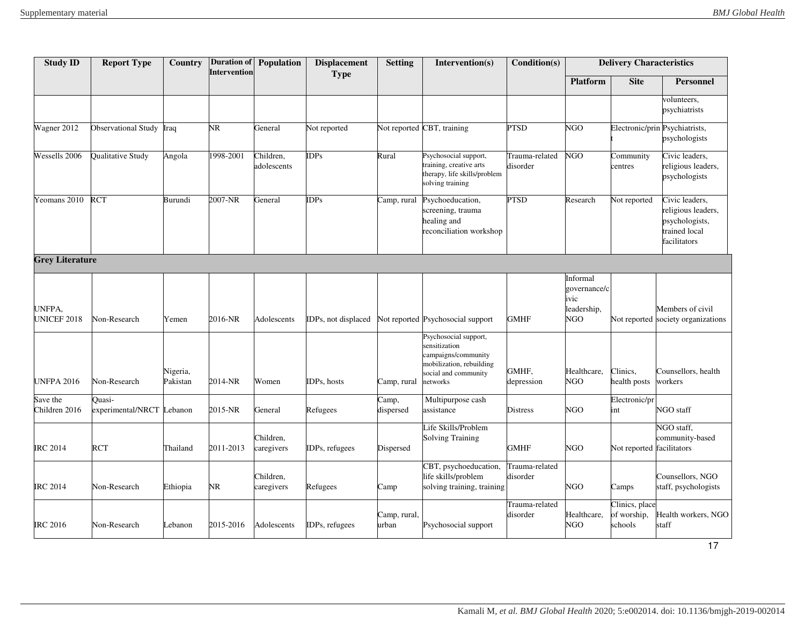| <b>Study ID</b>           | <b>Report Type</b>                  | Country              | <b>Intervention</b> | Duration of Population   | <b>Displacement</b> | <b>Setting</b>        | Intervention(s)                                                                                                               | Condition(s)               |                                                        | <b>Delivery Characteristics</b>          |                                                                                         |
|---------------------------|-------------------------------------|----------------------|---------------------|--------------------------|---------------------|-----------------------|-------------------------------------------------------------------------------------------------------------------------------|----------------------------|--------------------------------------------------------|------------------------------------------|-----------------------------------------------------------------------------------------|
|                           |                                     |                      |                     |                          | <b>Type</b>         |                       |                                                                                                                               |                            | <b>Platform</b>                                        | <b>Site</b>                              | <b>Personnel</b>                                                                        |
|                           |                                     |                      |                     |                          |                     |                       |                                                                                                                               |                            |                                                        |                                          | volunteers,<br>psychiatrists                                                            |
| Wagner 2012               | Observational Study Iraq            |                      | NR                  | General                  | Not reported        |                       | Not reported CBT, training                                                                                                    | <b>PTSD</b>                | NGO                                                    |                                          | Electronic/prin Psychiatrists,<br>psychologists                                         |
| Wessells 2006             | Qualitative Study                   | Angola               | 1998-2001           | Children,<br>adolescents | <b>IDPs</b>         | Rural                 | Psychosocial support,<br>training, creative arts<br>therapy, life skills/problem<br>solving training                          | Trauma-related<br>disorder | NGO                                                    | Community<br>centres                     | Civic leaders,<br>religious leaders,<br>psychologists                                   |
| Yeomans 2010              | <b>RCT</b>                          | Burundi              | 2007-NR             | General                  | <b>IDPs</b>         | Camp, rural           | Psychoeducation,<br>screening, trauma<br>healing and<br>reconciliation workshop                                               | <b>PTSD</b>                | Research                                               | Not reported                             | Civic leaders,<br>religious leaders,<br>psychologists,<br>trained local<br>facilitators |
| <b>Grey Literature</b>    |                                     |                      |                     |                          |                     |                       |                                                                                                                               |                            |                                                        |                                          |                                                                                         |
| UNFPA,<br>UNICEF 2018     | Non-Research                        | Yemen                | 2016-NR             | Adolescents              | IDPs, not displaced |                       | Not reported Psychosocial support                                                                                             | <b>GMHF</b>                | Informal<br>governance/c<br>ivic<br>leadership,<br>NGO |                                          | Members of civil<br>Not reported society organizations                                  |
| <b>UNFPA 2016</b>         | Non-Research                        | Nigeria,<br>Pakistan | 2014-NR             | Women                    | IDPs, hosts         | Camp, rural           | Psychosocial support,<br>sensitization<br>campaigns/community<br>mobilization, rebuilding<br>social and community<br>networks | GMHF,<br>depression        | Healthcare,<br>NGO                                     | Clinics,<br>health posts                 | Counsellors, health<br>workers                                                          |
| Save the<br>Children 2016 | Quasi-<br>experimental/NRCT Lebanon |                      | 2015-NR             | General                  | Refugees            | Camp,<br>dispersed    | Multipurpose cash<br>assistance                                                                                               | <b>Distress</b>            | <b>NGO</b>                                             | Electronic/pr<br>int                     | NGO staff                                                                               |
| <b>IRC 2014</b>           | <b>RCT</b>                          | Thailand             | 2011-2013           | Children,<br>caregivers  | IDPs, refugees      | Dispersed             | Life Skills/Problem<br><b>Solving Training</b>                                                                                | <b>GMHF</b>                | <b>NGO</b>                                             | Not reported facilitators                | NGO staff,<br>community-based                                                           |
| <b>IRC 2014</b>           | Non-Research                        | Ethiopia             | NR                  | Children,<br>caregivers  | Refugees            | Camp                  | CBT, psychoeducation,<br>life skills/problem<br>solving training, training                                                    | Trauma-related<br>disorder | NGO                                                    | Camps                                    | Counsellors, NGO<br>staff, psychologists                                                |
| <b>IRC 2016</b>           | Non-Research                        | Lebanon              | 2015-2016           | Adolescents              | IDPs, refugees      | Camp, rural,<br>urban | Psychosocial support                                                                                                          | Trauma-related<br>disorder | Healthcare,<br>NGO                                     | Clinics, place<br>of worship,<br>schools | Health workers, NGO<br>staff                                                            |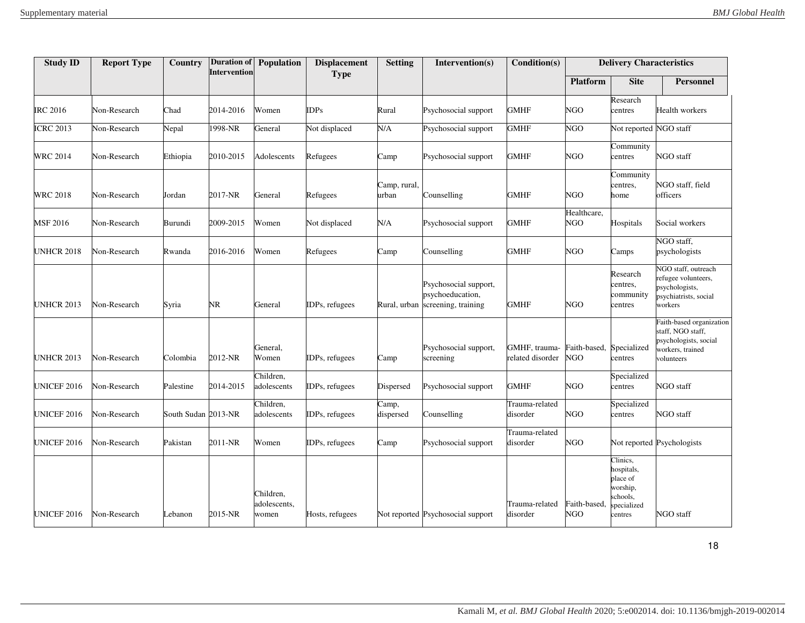| <b>Study ID</b>        | <b>Report Type</b> | Country             | <b>Duration of</b><br><b>Intervention</b> | Population                         | <b>Displacement</b> | <b>Setting</b>        | Intervention(s)                                                               | Condition(s)                      |                                        | <b>Delivery Characteristics</b>                                                     |                                                                                                          |
|------------------------|--------------------|---------------------|-------------------------------------------|------------------------------------|---------------------|-----------------------|-------------------------------------------------------------------------------|-----------------------------------|----------------------------------------|-------------------------------------------------------------------------------------|----------------------------------------------------------------------------------------------------------|
|                        |                    |                     |                                           |                                    | <b>Type</b>         |                       |                                                                               |                                   | <b>Platform</b>                        | <b>Site</b>                                                                         | <b>Personnel</b>                                                                                         |
| <b>IRC 2016</b>        | Non-Research       | Chad                | 2014-2016                                 | Women                              | <b>IDPs</b>         | Rural                 | Psychosocial support                                                          | <b>GMHF</b>                       | NGO                                    | Research<br>centres                                                                 | Health workers                                                                                           |
| <b>ICRC 2013</b>       | Non-Research       | Nepal               | 1998-NR                                   | General                            | Not displaced       | N/A                   | Psychosocial support                                                          | <b>GMHF</b>                       | <b>NGO</b>                             | Not reported NGO staff                                                              |                                                                                                          |
| <b>WRC 2014</b>        | Non-Research       | Ethiopia            | 2010-2015                                 | Adolescents                        | Refugees            | Camp                  | Psychosocial support                                                          | <b>GMHF</b>                       | NGO                                    | Community<br>centres                                                                | NGO staff                                                                                                |
| <b>WRC 2018</b>        | Non-Research       | Jordan              | 2017-NR                                   | General                            | Refugees            | Camp, rural,<br>urban | Counselling                                                                   | <b>GMHF</b>                       | NGO                                    | Community<br>centres,<br>home                                                       | NGO staff, field<br>officers                                                                             |
| MSF 2016               | Non-Research       | Burundi             | 2009-2015                                 | Women                              | Not displaced       | N/A                   | Psychosocial support                                                          | <b>GMHF</b>                       | Healthcare,<br>NGO                     | Hospitals                                                                           | Social workers                                                                                           |
| <b>UNHCR 2018</b>      | Non-Research       | Rwanda              | 2016-2016                                 | Women                              | Refugees            | Camp                  | Counselling                                                                   | <b>GMHF</b>                       | <b>NGO</b>                             | Camps                                                                               | NGO staff,<br>psychologists                                                                              |
| <b>UNHCR 2013</b>      | Non-Research       | Syria               | NR.                                       | General                            | IDPs, refugees      |                       | Psychosocial support,<br>psychoeducation,<br>Rural, urban screening, training | <b>GMHF</b>                       | <b>NGO</b>                             | Research<br>centres,<br>community<br>centres                                        | NGO staff, outreach<br>refugee volunteers,<br>psychologists,<br>psychiatrists, social<br>workers         |
| <b>UNHCR 2013</b>      | Non-Research       | Colombia            | 2012-NR                                   | General,<br>Women                  | IDPs, refugees      | Camp                  | Psychosocial support,<br>screening                                            | GMHF, trauma-<br>related disorder | Faith-based, Specialized<br><b>NGO</b> | centres                                                                             | Faith-based organization<br>staff, NGO staff,<br>psychologists, social<br>workers, trained<br>volunteers |
| UNICEF 2016            | Non-Research       | Palestine           | 2014-2015                                 | Children,<br>adolescents           | IDPs, refugees      | Dispersed             | Psychosocial support                                                          | <b>GMHF</b>                       | NGO                                    | Specialized<br>centres                                                              | NGO staff                                                                                                |
| UNICEF 2016            | Non-Research       | South Sudan 2013-NR |                                           | Children,<br>adolescents           | IDPs, refugees      | Camp,<br>dispersed    | Counselling                                                                   | Trauma-related<br>disorder        | <b>NGO</b>                             | Specialized<br>centres                                                              | NGO staff                                                                                                |
| UNICEF 2016            | Non-Research       | Pakistan            | 2011-NR                                   | Women                              | IDPs, refugees      | Camp                  | Psychosocial support                                                          | Trauma-related<br>disorder        | NGO                                    |                                                                                     | Not reported Psychologists                                                                               |
| UNICEF <sub>2016</sub> | Non-Research       | Lebanon             | 2015-NR                                   | Children,<br>adolescents,<br>women | Hosts, refugees     |                       | Not reported Psychosocial support                                             | Trauma-related<br>disorder        | Faith-based,<br><b>NGO</b>             | Clinics,<br>hospitals,<br>place of<br>worship,<br>schools,<br>pecialized<br>centres | NGO staff                                                                                                |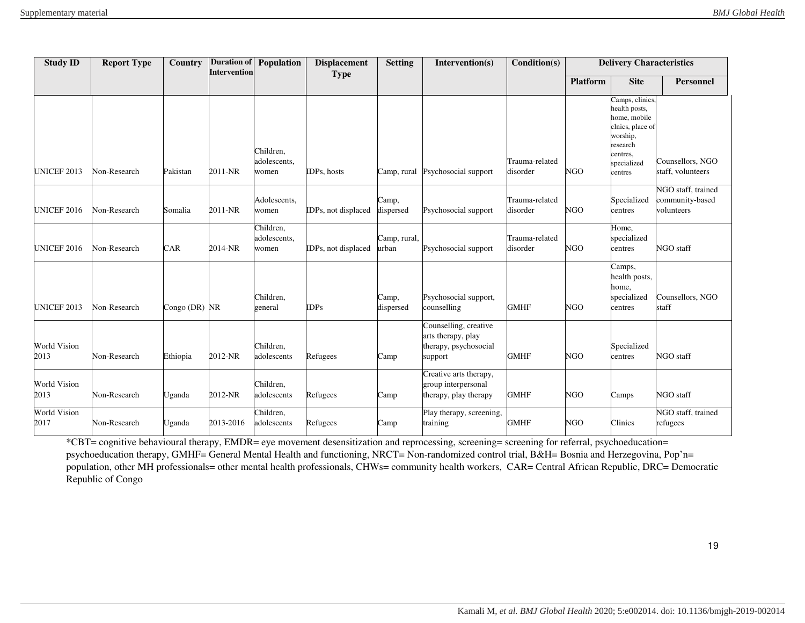| <b>Study ID</b>             | <b>Report Type</b> | Country         | <b>Intervention</b> | <b>Duration of Population</b>      | <b>Displacement</b> | <b>Setting</b>        | Intervention(s)                                                                 | Condition(s)               |                 | <b>Delivery Characteristics</b>                                                                                                    |                                                     |
|-----------------------------|--------------------|-----------------|---------------------|------------------------------------|---------------------|-----------------------|---------------------------------------------------------------------------------|----------------------------|-----------------|------------------------------------------------------------------------------------------------------------------------------------|-----------------------------------------------------|
|                             |                    |                 |                     |                                    | <b>Type</b>         |                       |                                                                                 |                            | <b>Platform</b> | <b>Site</b>                                                                                                                        | <b>Personnel</b>                                    |
| <b>UNICEF 2013</b>          | Non-Research       | Pakistan        | 2011-NR             | Children,<br>adolescents,<br>women | IDPs, hosts         | Camp, rural           | Psychosocial support                                                            | Trauma-related<br>disorder | <b>NGO</b>      | Camps, clinics,<br>health posts,<br>home, mobile<br>clnics, place of<br>worship,<br>research<br>centres,<br>specialized<br>centres | Counsellors, NGO<br>staff, volunteers               |
| UNICEF <sub>2016</sub>      | Non-Research       | Somalia         | 2011-NR             | Adolescents,<br>women              | IDPs, not displaced | Camp,<br>dispersed    | Psychosocial support                                                            | Trauma-related<br>disorder | <b>NGO</b>      | Specialized<br>centres                                                                                                             | NGO staff, trained<br>community-based<br>volunteers |
| <b>UNICEF 2016</b>          | Non-Research       | CAR             | 2014-NR             | Children,<br>adolescents,<br>women | IDPs, not displaced | Camp, rural,<br>urban | Psychosocial support                                                            | Trauma-related<br>disorder | <b>NGO</b>      | Home,<br>specialized<br>centres                                                                                                    | NGO staff                                           |
| <b>UNICEF 2013</b>          | Non-Research       | Congo $(DR)$ NR |                     | Children,<br>general               | <b>IDPs</b>         | Camp,<br>dispersed    | Psychosocial support,<br>counselling                                            | <b>GMHF</b>                | <b>NGO</b>      | Camps,<br>health posts,<br>home,<br>specialized<br>centres                                                                         | Counsellors, NGO<br>staff                           |
| <b>World Vision</b><br>2013 | Non-Research       | Ethiopia        | 2012-NR             | Children,<br>adolescents           | Refugees            | Camp                  | Counselling, creative<br>arts therapy, play<br>therapy, psychosocial<br>support | <b>GMHF</b>                | <b>NGO</b>      | Specialized<br>centres                                                                                                             | NGO staff                                           |
| <b>World Vision</b><br>2013 | Non-Research       | Uganda          | 2012-NR             | Children,<br>adolescents           | Refugees            | Camp                  | Creative arts therapy,<br>group interpersonal<br>therapy, play therapy          | <b>GMHF</b>                | <b>NGO</b>      | Camps                                                                                                                              | NGO staff                                           |
| <b>World Vision</b><br>2017 | Non-Research       | Uganda          | 2013-2016           | Children.<br>adolescents           | Refugees            | Camp                  | Play therapy, screening,<br>training                                            | <b>GMHF</b>                | <b>NGO</b>      | Clinics                                                                                                                            | NGO staff, trained<br>refugees                      |

\*CBT= cognitive behavioural therapy, EMDR= eye movement desensitization and reprocessing, screening= screening for referral, psychoeducation= psychoeducation therapy, GMHF= General Mental Health and functioning, NRCT= Non-randomized control trial, B&H= Bosnia and Herzegovina, Pop'n= population, other MH professionals= other mental health professionals, CHWs= community health workers, CAR= Central African Republic, DRC= Democratic Republic of Congo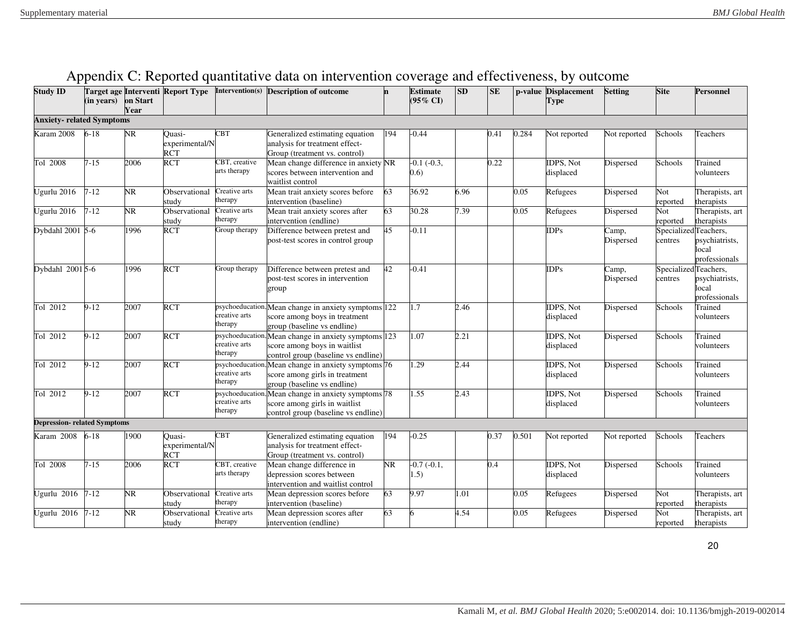<span id="page-19-0"></span>

| <b>Study ID</b>                     | (in years) on Start | Year | Target age Interventi Report Type | Intervention(s)                             | <b>Description of outcome</b>                                                                                        | 'n        | <b>Estimate</b><br>$(95\% \text{ CI})$ | SD   | <b>SE</b> |       | p-value Displacement<br><b>Type</b> | <b>Setting</b>     | <b>Site</b>                      | <b>Personnel</b>                        |
|-------------------------------------|---------------------|------|-----------------------------------|---------------------------------------------|----------------------------------------------------------------------------------------------------------------------|-----------|----------------------------------------|------|-----------|-------|-------------------------------------|--------------------|----------------------------------|-----------------------------------------|
| <b>Anxiety- related Symptoms</b>    |                     |      |                                   |                                             |                                                                                                                      |           |                                        |      |           |       |                                     |                    |                                  |                                         |
| Karam 2008                          | $6 - 18$            | NR.  | Quasi-<br>experimental/N<br>RČT   | CBT                                         | Generalized estimating equation<br>analysis for treatment effect-<br>Group (treatment vs. control)                   | 194       | $-0.44$                                |      | 0.41      | 0.284 | Not reported                        | Not reported       | Schools                          | Teachers                                |
| Tol 2008                            | $7 - 15$            | 2006 | <b>RCT</b>                        | CBT, creative<br>arts therapy               | Mean change difference in anxiety NR<br>scores between intervention and<br>waitlist control                          |           | $-0.1(-0.3,$<br>(0.6)                  |      | 0.22      |       | IDPS, Not<br>displaced              | Dispersed          | Schools                          | Trained<br>volunteers                   |
| Ugurlu 2016                         | $7 - 12$            | NR   | Observational<br>study            | Creative arts<br>therapy                    | Mean trait anxiety scores before<br>intervention (baseline)                                                          | 63        | 36.92                                  | 6.96 |           | 0.05  | Refugees                            | Dispersed          | Not<br>reported                  | Therapists, art<br>therapists           |
| Ugurlu 2016                         | $7 - 12$            | NR   | Observational<br>studv            | Creative arts<br>therapy                    | Mean trait anxiety scores after<br>intervention (endline)                                                            | 63        | 30.28                                  | 7.39 |           | 0.05  | Refugees                            | Dispersed          | Not<br>reported                  | Therapists, art<br>therapists           |
| Dybdahl 2001 5-6                    |                     | 1996 | RCT                               | Group therapy                               | Difference between pretest and<br>post-test scores in control group                                                  | 45        | $-0.11$                                |      |           |       | <b>IDPs</b>                         | Camp,<br>Dispersed | Specialized Teachers,<br>centres | psychiatrists,<br>ocal<br>professionals |
| Dybdahl 20015-6                     |                     | 1996 | <b>RCT</b>                        | Group therapy                               | Difference between pretest and<br>post-test scores in intervention<br>group                                          | 42        | $-0.41$                                |      |           |       | <b>IDPs</b>                         | Camp,<br>Dispersed | SpecializedTeachers,<br>centres  | psychiatrists,<br>ocal<br>professionals |
| Tol 2012                            | $9-12$              | 2007 | <b>RCT</b>                        | creative arts<br>therapy                    | psychoeducation, Mean change in anxiety symptoms 122<br>score among boys in treatment<br>group (baseline vs endline) |           | 1.7                                    | 2.46 |           |       | IDPS, Not<br>displaced              | Dispersed          | Schools                          | Trained<br>volunteers                   |
| Tol 2012                            | $9 - 12$            | 2007 | <b>RCT</b>                        | psychoeducation<br>creative arts<br>therapy | Mean change in anxiety symptoms 123<br>score among boys in waitlist<br>control group (baseline vs endline)           |           | 1.07                                   | 2.21 |           |       | <b>IDPS</b> . Not<br>displaced      | Dispersed          | Schools                          | Trained<br>volunteers                   |
| Tol 2012                            | $9 - 12$            | 2007 | <b>RCT</b>                        | psychoeducation<br>creative arts<br>herapy  | Mean change in anxiety symptoms 76<br>score among girls in treatment<br>group (baseline vs endline)                  |           | 1.29                                   | 2.44 |           |       | IDPS, Not<br>displaced              | Dispersed          | Schools                          | Trained<br>volunteers                   |
| Tol 2012                            | $9-12$              | 2007 | <b>RCT</b>                        | psychoeducation<br>creative arts<br>herapy  | Mean change in anxiety symptoms 78<br>score among girls in waitlist<br>control group (baseline vs endline)           |           | 1.55                                   | 2.43 |           |       | <b>IDPS, Not</b><br>displaced       | Dispersed          | Schools                          | Trained<br>volunteers                   |
| <b>Depression- related Symptoms</b> |                     |      |                                   |                                             |                                                                                                                      |           |                                        |      |           |       |                                     |                    |                                  |                                         |
| Karam 2008                          | $6 - 18$            | 1900 | $Quasi-$<br>experimental/N<br>RČT | $\overline{\text{CBT}}$                     | Generalized estimating equation<br>analysis for treatment effect-<br>Group (treatment vs. control)                   | 194       | $-0.25$                                |      | 0.37      | 0.501 | Not reported                        | Not reported       | Schools                          | Teachers                                |
| Tol 2008                            | $7 - 15$            | 2006 | <b>RCT</b>                        | CBT, creative<br>arts therapy               | Mean change difference in<br>depression scores between<br>intervention and waitlist control                          | <b>NR</b> | $-0.7(-0.1,$<br>1.5)                   |      | 0.4       |       | IDPS, Not<br>displaced              | Dispersed          | Schools                          | Trained<br>volunteers                   |
| Ugurlu 2016                         | $7 - 12$            | NR   | Observational<br>studv            | Creative arts<br>therapy                    | Mean depression scores before<br>intervention (baseline)                                                             | 63        | 9.97                                   | .01  |           | 0.05  | Refugees                            | Dispersed          | Not<br>reported                  | Therapists, art<br>therapists           |
| Ugurlu 2016                         | $7 - 12$            | NR   | Observational<br>study            | Creative arts<br>herapy                     | Mean depression scores after<br>intervention (endline)                                                               | 63        |                                        | 4.54 |           | 0.05  | Refugees                            | Dispersed          | Not<br>reported                  | Therapists, art<br>therapists           |

| Appendix C: Reported quantitative data on intervention coverage and effectiveness, by outcome |  |  |
|-----------------------------------------------------------------------------------------------|--|--|
|                                                                                               |  |  |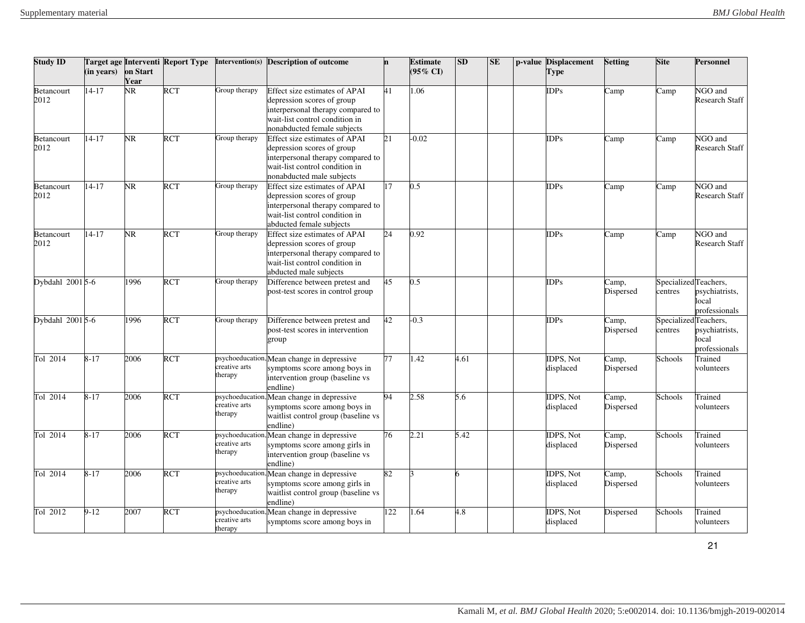| Study ID                  | (in years) | on Start<br>Year       | Target age Interventi Report Type | Intervention(s)                             | <b>Description of outcome</b>                                                                                                                                          | 'n  | <b>Estimate</b><br>$(95\% \text{ CI})$ | SD   | SE | p-value Displacement<br><b>Type</b> | <b>Setting</b>     | <b>Site</b>                      | Personnel                                |
|---------------------------|------------|------------------------|-----------------------------------|---------------------------------------------|------------------------------------------------------------------------------------------------------------------------------------------------------------------------|-----|----------------------------------------|------|----|-------------------------------------|--------------------|----------------------------------|------------------------------------------|
| Betancourt<br>2012        | $14 - 17$  | $\overline{\text{NR}}$ | <b>RCT</b>                        | Group therapy                               | Effect size estimates of APAI<br>depression scores of group<br>interpersonal therapy compared to<br>wait-list control condition in<br>nonabducted female subjects      | 41  | 1.06                                   |      |    | <b>IDPs</b>                         | Camp               | Camp                             | NGO and<br><b>Research Staff</b>         |
| Betancourt<br>2012        | $14 - 17$  | $\overline{\text{NR}}$ | <b>RCT</b>                        | Group therapy                               | <b>Effect size estimates of APAI</b><br>depression scores of group<br>interpersonal therapy compared to<br>wait-list control condition in<br>nonabducted male subjects | 21  | $-0.02$                                |      |    | IDPs                                | Camp               | Camp                             | NGO and<br><b>Research Staff</b>         |
| Betancourt<br>2012        | $14 - 17$  | NR.                    | <b>RCT</b>                        | Group therapy                               | Effect size estimates of APAI<br>depression scores of group<br>interpersonal therapy compared to<br>wait-list control condition in<br>abducted female subjects         | 17  | $0.5^{\circ}$                          |      |    | IDPs                                | Camp               | Camp                             | NGO and<br><b>Research Staff</b>         |
| <b>Betancourt</b><br>2012 | $14 - 17$  | NR.                    | <b>RCT</b>                        | Group therapy                               | Effect size estimates of APAI<br>depression scores of group<br>interpersonal therapy compared to<br>wait-list control condition in<br>abducted male subjects           | 24  | 0.92                                   |      |    | <b>IDPs</b>                         | Camp               | Camp                             | NGO and<br><b>Research Staff</b>         |
| Dybdahl 2001 5-6          |            | 1996                   | <b>RCT</b>                        | Group therapy                               | Difference between pretest and<br>post-test scores in control group                                                                                                    | 45  | 0.5                                    |      |    | IDPs                                | Camp,<br>Dispersed | SpecializedTeachers,<br>centres  | psychiatrists,<br>local<br>professionals |
| Dybdahl 2001 5-6          |            | 1996                   | <b>RCT</b>                        | Group therapy                               | Difference between pretest and<br>post-test scores in intervention<br>group                                                                                            | 42  | $-0.3$                                 |      |    | IDPs                                | Camp,<br>Dispersed | Specialized Teachers,<br>centres | psychiatrists,<br>local<br>professionals |
| Tol 2014                  | $8 - 17$   | 2006                   | <b>RCT</b>                        | creative arts<br>therapy                    | psychoeducation, Mean change in depressive<br>symptoms score among boys in<br>intervention group (baseline vs<br>endline)                                              | 77  | .42                                    | 4.61 |    | <b>IDPS. Not</b><br>displaced       | Camp,<br>Dispersed | Schools                          | Trained<br>volunteers                    |
| Tol 2014                  | $8 - 17$   | 2006                   | <b>RCT</b>                        | psychoeducation<br>creative arts<br>therapy | Mean change in depressive<br>symptoms score among boys in<br>waitlist control group (baseline vs<br>endline)                                                           | 94  | 2.58                                   | 5.6  |    | <b>IDPS. Not</b><br>displaced       | Camp,<br>Dispersed | Schools                          | Trained<br>volunteers                    |
| Tol 2014                  | $8 - 17$   | 2006                   | <b>RCT</b>                        | psychoeducation<br>creative arts<br>therapy | Mean change in depressive<br>symptoms score among girls in<br>intervention group (baseline vs<br>endline)                                                              | 76  | 2.21                                   | 5.42 |    | IDPS, Not<br>displaced              | Camp,<br>Dispersed | Schools                          | <b>Trained</b><br>volunteers             |
| Tol 2014                  | $8 - 17$   | 2006                   | <b>RCT</b>                        | psychoeducation<br>creative arts<br>therapy | Mean change in depressive<br>symptoms score among girls in<br>waitlist control group (baseline vs<br>endline)                                                          | 82  |                                        |      |    | <b>IDPS. Not</b><br>displaced       | Camp,<br>Dispersed | Schools                          | <b>Trained</b><br>volunteers             |
| Tol 2012                  | $9 - 12$   | 2007                   | <b>RCT</b>                        | psychoeducation<br>creative arts<br>therapy | Mean change in depressive<br>symptoms score among boys in                                                                                                              | 122 | .64                                    | 4.8  |    | <b>IDPS, Not</b><br>displaced       | Dispersed          | Schools                          | <b>Trained</b><br>volunteers             |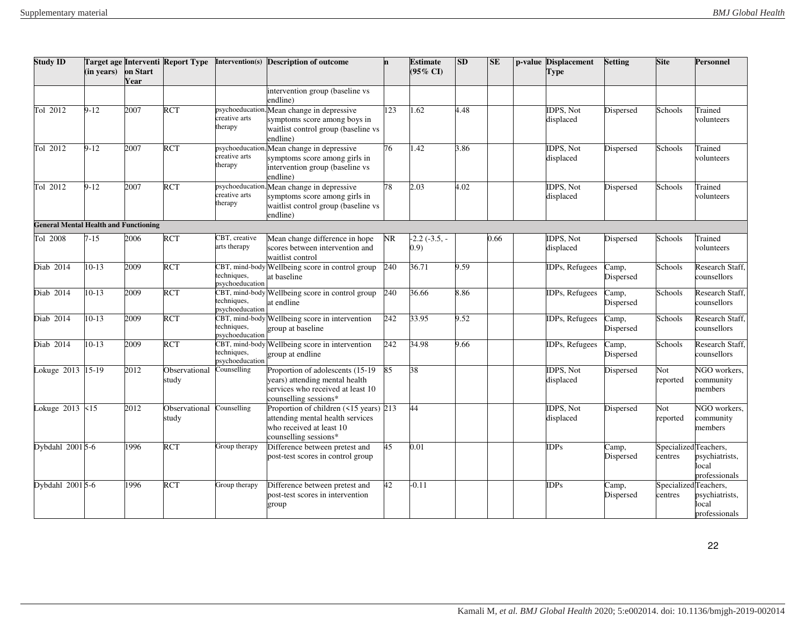| Study ID                                     | (in years) | on Start<br>Year |                        |                                                  | Target age Interventi Report Type Intervention(s) Description of outcome                                                          |     | <b>Estimate</b><br>(95% CI) | <b>SD</b> | SE   | p-value Displacement<br><b>Type</b> | <b>Setting</b>                          | <b>Site</b>     | Personnel                                                        |
|----------------------------------------------|------------|------------------|------------------------|--------------------------------------------------|-----------------------------------------------------------------------------------------------------------------------------------|-----|-----------------------------|-----------|------|-------------------------------------|-----------------------------------------|-----------------|------------------------------------------------------------------|
|                                              |            |                  |                        |                                                  | intervention group (baseline vs<br>endline)                                                                                       |     |                             |           |      |                                     |                                         |                 |                                                                  |
| Tol 2012                                     | $9-12$     | 2007             | <b>RCT</b>             | creative arts<br>therapy                         | psychoeducation, Mean change in depressive<br>symptoms score among boys in<br>waitlist control group (baseline vs<br>endline)     | 123 | 1.62                        | 4.48      |      | IDPS, Not<br>displaced              | Dispersed                               | Schools         | Trained<br>volunteers                                            |
| Tol 2012                                     | $9-12$     | 2007             | <b>RCT</b>             | creative arts<br>therapy                         | psychoeducation, Mean change in depressive<br>symptoms score among girls in<br>intervention group (baseline vs<br>endline)        | 76  | 1.42                        | 3.86      |      | IDPS, Not<br>displaced              | Dispersed                               | Schools         | Trained<br>volunteers                                            |
| Tol 2012                                     | $9-12$     | 2007             | <b>RCT</b>             | creative arts<br>therapy                         | psychoeducation, Mean change in depressive<br>symptoms score among girls in<br>waitlist control group (baseline vs<br>endline)    | 78  | 2.03                        | 4.02      |      | <b>IDPS, Not</b><br>displaced       | Dispersed                               | Schools         | Trained<br>volunteers                                            |
| <b>General Mental Health and Functioning</b> |            |                  |                        |                                                  |                                                                                                                                   |     |                             |           |      |                                     |                                         |                 |                                                                  |
| Tol 2008                                     | $7 - 15$   | 2006             | <b>RCT</b>             | CBT, creative<br>arts therapy                    | Mean change difference in hope<br>scores between intervention and<br>waitlist control                                             | NR  | $-2.2$ $(-3.5, -$<br>(0.9)  |           | 0.66 | IDPS, Not<br>displaced              | Dispersed                               | Schools         | Trained<br>volunteers                                            |
| Diab 2014                                    | $10 - 13$  | 2009             | <b>RCT</b>             | techniques,<br>psychoeducation                   | CBT, mind-body Wellbeing score in control group<br>at baseline                                                                    | 240 | 36.71                       | 9.59      |      | IDPs, Refugees                      | Camp,<br>Dispersed                      | Schools         | Research Staff.<br>counsellors                                   |
| Diab 2014                                    | $10-13$    | 2009             | <b>RCT</b>             | CBT, mind-body<br>techniques,<br>psychoeducation | Wellbeing score in control group<br>at endline                                                                                    | 240 | 36.66                       | 8.86      |      | <b>IDPs, Refugees</b>               | Camp,<br>Dispersed                      | Schools         | Research Staff,<br>counsellors                                   |
| Diab 2014                                    | $10-13$    | 2009             | <b>RCT</b>             | techniques,<br>psychoeducation                   | CBT, mind-body Wellbeing score in intervention<br>group at baseline                                                               | 242 | 33.95                       | 9.52      |      | <b>IDPs, Refugees</b>               | Camp,<br>Dispersed                      | Schools         | Research Staff,<br>counsellors                                   |
| Diab 2014                                    | $10-13$    | 2009             | <b>RCT</b>             | techniques,<br>psychoeducation                   | CBT, mind-body Wellbeing score in intervention<br>group at endline                                                                | 242 | 34.98                       | 9.66      |      | <b>IDPs, Refugees</b>               | $\overline{\text{Camp}}$ ,<br>Dispersed | Schools         | Research Staff.<br>counsellors                                   |
| Lokuge 2013 15-19                            |            | 2012             | Observational<br>study | Counselling                                      | Proportion of adolescents (15-19)<br>years) attending mental health<br>services who received at least 10<br>counselling sessions* | 85  | 38                          |           |      | <b>IDPS, Not</b><br>displaced       | Dispersed                               | Not<br>reported | NGO workers,<br>community<br>members                             |
| Lokuge 2013 <15                              |            | 2012             | Observational<br>study | Counselling                                      | Proportion of children (<15 years) 213<br>attending mental health services<br>who received at least 10<br>counselling sessions*   |     | 44                          |           |      | <b>IDPS, Not</b><br>displaced       | Dispersed                               | Not<br>reported | NGO workers,<br>community<br>members                             |
| Dybdahl 2001 5-6                             |            | 1996             | <b>RCT</b>             | Group therapy                                    | Difference between pretest and<br>post-test scores in control group                                                               | 45  | 0.01                        |           |      | <b>IDPs</b>                         | Camp,<br>Dispersed                      | centres         | SpecializedTeachers,<br>psychiatrists,<br>ocal<br>professionals  |
| Dybdahl 2001 5-6                             |            | 1996             | <b>RCT</b>             | Group therapy                                    | Difference between pretest and<br>post-test scores in intervention<br>group                                                       | 42  | $-0.11$                     |           |      | <b>IDPs</b>                         | Camp,<br>Dispersed                      | centres         | Specialized Teachers,<br>psychiatrists,<br>ocal<br>professionals |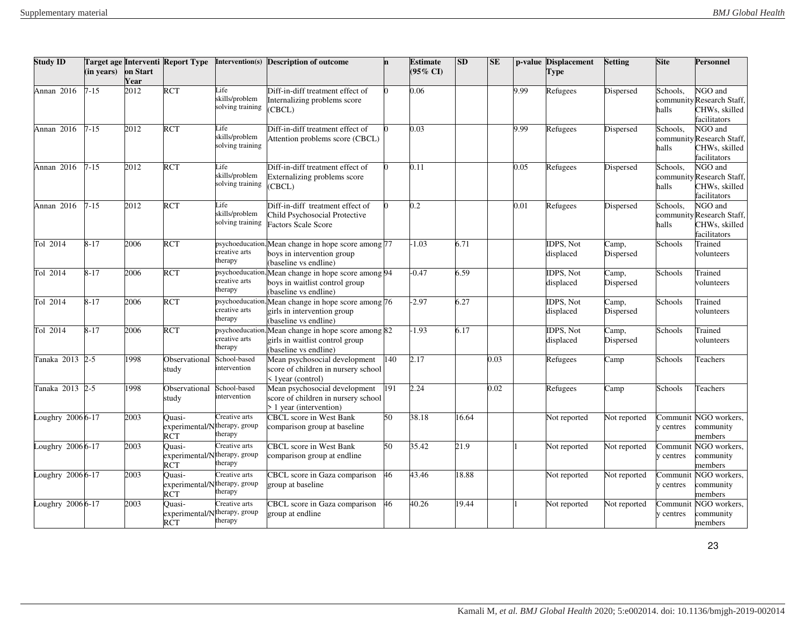| <b>Study ID</b>  | (in years) | on Start<br>Year | Target age Interventi Report Type                    |                                             | Intervention(s) Description of outcome                                                            |     | <b>Estimate</b><br>(95% CI) | <b>SD</b> | <b>SE</b> |      | p-value Displacement<br>Type   | <b>Setting</b>     | <b>Site</b>           | <b>Personnel</b>                                                            |
|------------------|------------|------------------|------------------------------------------------------|---------------------------------------------|---------------------------------------------------------------------------------------------------|-----|-----------------------------|-----------|-----------|------|--------------------------------|--------------------|-----------------------|-----------------------------------------------------------------------------|
| Annan 2016       | $7 - 15$   | 2012             | <b>RCT</b>                                           | Life<br>skills/problem<br>solving training  | Diff-in-diff treatment effect of<br>Internalizing problems score<br>(CBCL)                        |     | 0.06                        |           |           | 9.99 | Refugees                       | Dispersed          | Schools,<br>halls     | <b>NGO</b> and<br>community Research Staff,<br>CHWs, skilled<br>acilitators |
| Annan 2016       | $7 - 15$   | 2012             | <b>RCT</b>                                           | Life<br>skills/problem<br>solving training  | Diff-in-diff treatment effect of<br>Attention problems score (CBCL)                               |     | 0.03                        |           |           | 9.99 | Refugees                       | Dispersed          | Schools.<br>halls     | NGO and<br>community Research Staff,<br>CHWs, skilled<br>facilitators       |
| Annan 2016       | $7 - 15$   | 2012             | <b>RCT</b>                                           | Life<br>skills/problem<br>solving training  | Diff-in-diff treatment effect of<br>Externalizing problems score<br>CBCL)                         |     | 0.11                        |           |           | 0.05 | Refugees                       | Dispersed          | Schools.<br>halls     | NGO and<br>community Research Staff,<br>CHWs, skilled<br>acilitators        |
| Annan 2016       | $7 - 15$   | 2012             | <b>RCT</b>                                           | Life<br>skills/problem<br>solving training  | Diff-in-diff treatment effect of<br>Child Psychosocial Protective<br><b>Factors Scale Score</b>   |     | 0.2                         |           |           | 0.01 | Refugees                       | Dispersed          | Schools,<br>halls     | NGO and<br>community Research Staff,<br>CHWs, skilled<br>facilitators       |
| Tol 2014         | $8 - 17$   | 2006             | <b>RCT</b>                                           | psychoeducation<br>creative arts<br>therapy | Mean change in hope score among 77<br>boys in intervention group<br>(baseline vs endline)         |     | $-1.03$                     | 6.71      |           |      | <b>IDPS</b> . Not<br>displaced | Camp,<br>Dispersed | Schools               | Trained<br>volunteers                                                       |
| Tol 2014         | $8 - 17$   | 2006             | <b>RCT</b>                                           | osychoeducation<br>creative arts<br>therapy | Mean change in hope score among 94<br>boys in waitlist control group<br>(baseline vs endline)     |     | $-0.47$                     | 6.59      |           |      | <b>IDPS, Not</b><br>displaced  | Camp,<br>Dispersed | Schools               | Trained<br>volunteers                                                       |
| Tol 2014         | $8 - 17$   | 2006             | <b>RCT</b>                                           | osychoeducation<br>creative arts<br>therapy | Mean change in hope score among 76<br>girls in intervention group<br>(baseline vs endline)        |     | $-2.97$                     | 6.27      |           |      | IDPS, Not<br>displaced         | Camp,<br>Dispersed | Schools               | Trained<br>volunteers                                                       |
| Tol 2014         | $8 - 17$   | 2006             | <b>RCT</b>                                           | psychoeducation<br>creative arts<br>therapy | Mean change in hope score among 82<br>girls in waitlist control group<br>(baseline vs endline)    |     | $-1.93$                     | 6.17      |           |      | <b>IDPS. Not</b><br>displaced  | Camp,<br>Dispersed | Schools               | Trained<br>volunteers                                                       |
| Tanaka 2013      | $2 - 5$    | 1998             | Observational<br>study                               | School-based<br>intervention                | Mean psychosocial development<br>score of children in nursery school<br>< 1 year (control)        | 140 | 2.17                        |           | 0.03      |      | Refugees                       | Camp               | Schools               | Teachers                                                                    |
| Tanaka 2013 2-5  |            | 1998             | Observational<br>study                               | School-based<br>intervention                | Mean psychosocial development<br>score of children in nursery school<br>$> 1$ year (intervention) | 191 | 2.24                        |           | 0.02      |      | Refugees                       | Camp               | Schools               | <b>Teachers</b>                                                             |
| oughry 2006 6-17 |            | 2003             | <b>Duasi-</b><br>experimental/Ntherapy, group<br>RCT | Creative arts<br>therapy                    | <b>CBCL</b> score in West Bank<br>comparison group at baseline                                    | 50  | 38.18                       | 16.64     |           |      | Not reported                   | Not reported       | Communit<br>centres   | NGO workers,<br>community<br>nembers                                        |
| oughry 2006 6-17 |            | 2003             | Quasi-<br>experimental/Ntherapy, group<br>RCT        | Creative arts<br>therapy                    | <b>CBCL</b> score in West Bank<br>comparison group at endline                                     | 50  | 35.42                       | 21.9      |           |      | Not reported                   | Not reported       | Communit<br>centres   | NGO workers,<br>community<br>nembers                                        |
| oughry 2006 6-17 |            | 2003             | Ouasi-<br>experimental/Ntherapy, group<br><b>RCT</b> | Creative arts<br>therapy                    | CBCL score in Gaza comparison<br>group at baseline                                                | 46  | 43.46                       | 8.88      |           |      | Not reported                   | Not reported       | Communit<br>centres   | NGO workers,<br>community<br>nembers                                        |
| oughry 2006 6-17 |            | 2003             | Quasi-<br>experimental/N<br><b>RCT</b>               | Creative arts<br>therapy, group<br>therapy  | CBCL score in Gaza comparison<br>group at endline                                                 | 46  | 40.26                       | 19.44     |           |      | Not reported                   | Not reported       | Communit<br>y centres | NGO workers,<br>community<br>members                                        |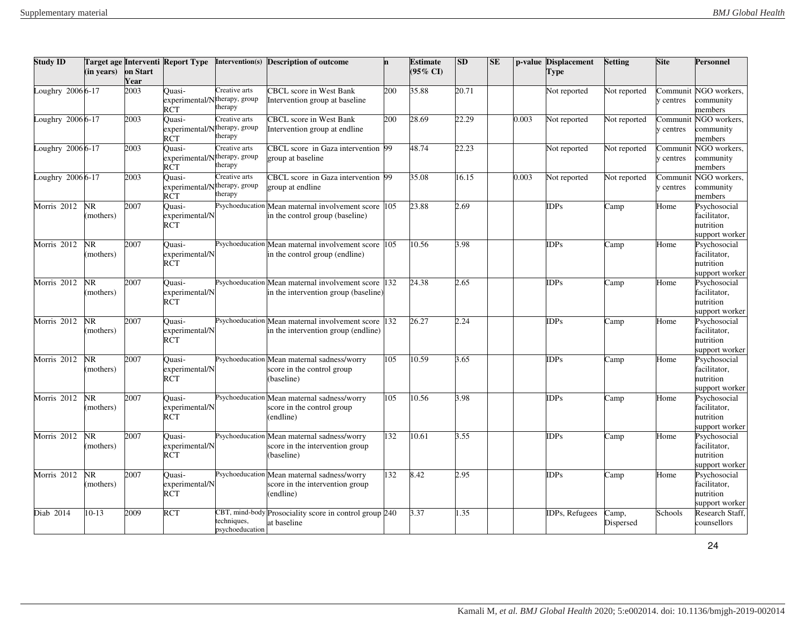| <b>Study ID</b>  | (in years)             | on Start<br>Year | Target age Interventi Report Type                          |                                | Intervention(s) Description of outcome                                                       |     | <b>Estimate</b><br>$(95\% \text{ CI})$ | <b>SD</b> | <b>SE</b> |       | p-value Displacement<br>Type | <b>Setting</b>     | <b>Site</b>           | Personnel                                                   |
|------------------|------------------------|------------------|------------------------------------------------------------|--------------------------------|----------------------------------------------------------------------------------------------|-----|----------------------------------------|-----------|-----------|-------|------------------------------|--------------------|-----------------------|-------------------------------------------------------------|
| oughry 2006 6-17 |                        | 2003             | Ouasi-<br>experimental/Ntherapy, group<br>RCT              | Creative arts<br>therapy       | CBCL score in West Bank<br>ntervention group at baseline                                     | 200 | 35.88                                  | 20.71     |           |       | Not reported                 | Not reported       | `ommunit<br>centres   | NGO workers,<br>community<br>members                        |
| oughry 2006 6-17 |                        | 2003             | Ouasi-<br>experimental/Ntherapy, group<br>RCT              | Creative arts<br>herapy:       | CBCL score in West Bank<br>Intervention group at endline                                     | 200 | 28.69                                  | 22.29     |           | 0.003 | Not reported                 | Not reported       | centres               | Communit NGO workers.<br>community<br>members               |
| oughry 2006 6-17 |                        | 2003             | Ouasi-<br>experimental/N <sup>therapy</sup> , group<br>RCT | Creative arts<br>herapy:       | CBCL score in Gaza intervention 99<br>group at baseline                                      |     | 48.74                                  | 22.23     |           |       | Not reported                 | Not reported       | Communit<br>centres   | NGO workers,<br>community<br>members                        |
| oughry 2006 6-17 |                        | 2003             | Ouasi-<br>experimental/Ntherapy, group<br>RCT              | Creative arts<br>herapy        | CBCL score in Gaza intervention 99<br>group at endline                                       |     | 35.08                                  | 16.15     |           | 0.003 | Not reported                 | Not reported       | Communit<br>y centres | NGO workers,<br>community<br>members                        |
| Morris 2012      | <b>NR</b><br>(mothers) | 2007             | Ouasi-<br>experimental/N<br>RCT                            |                                | Psychoeducation Mean maternal involvement score<br>in the control group (baseline)           | 105 | 23.88                                  | 2.69      |           |       | <b>IDPs</b>                  | Camp               | Home                  | Psychosocial<br>facilitator,<br>nutrition<br>support worker |
| Morris 2012      | NR.<br>(mothers)       | 2007             | Ouasi-<br>experimental/N<br>RCT                            |                                | Psychoeducation Mean maternal involvement score<br>in the control group (endline)            | 105 | 10.56                                  | 3.98      |           |       | <b>IDPs</b>                  | Camp               | Home                  | Psychosocial<br>facilitator,<br>nutrition<br>support worker |
| Morris 2012      | NR<br>(mothers)        | 2007             | Ouasi-<br>experimental/N<br>RCT                            |                                | Psychoeducation Mean maternal involvement score<br>in the intervention group (baseline)      | 132 | 24.38                                  | 2.65      |           |       | <b>IDPs</b>                  | Camp               | Home                  | Psychosocial<br>facilitator,<br>nutrition<br>support worker |
| Morris 2012      | NR<br>(mothers)        | 2007             | Ouasi-<br>experimental/N<br>RCT                            |                                | Psychoeducation Mean maternal involvement score<br>in the intervention group (endline)       | 132 | 26.27                                  | 2.24      |           |       | <b>IDPs</b>                  | Camp               | Home                  | Psychosocial<br>facilitator,<br>nutrition<br>support worker |
| Morris 2012      | NR.<br>(mothers)       | 2007             | Ouasi-<br>experimental/N<br>RCT                            |                                | Psychoeducation Mean maternal sadness/worry<br>score in the control group<br>(baseline)      | 105 | 10.59                                  | 3.65      |           |       | <b>IDPs</b>                  | Camp               | Home                  | Psychosocial<br>facilitator,<br>nutrition<br>support worker |
| Morris 2012      | NR.<br>(mothers)       | 2007             | Ouasi-<br>experimental/N<br>RCT                            |                                | Psychoeducation Mean maternal sadness/worry<br>score in the control group<br>endline)        | 105 | 10.56                                  | 3.98      |           |       | <b>IDPs</b>                  | Camp               | Home                  | Psychosocial<br>facilitator,<br>nutrition<br>support worker |
| Morris 2012      | NR.<br>(mothers)       | 2007             | Ouasi-<br>experimental/N<br>RCT                            |                                | Psychoeducation Mean maternal sadness/worry<br>score in the intervention group<br>(baseline) | 132 | 10.61                                  | 3.55      |           |       | <b>IDPs</b>                  | Camp               | Home                  | Psychosocial<br>facilitator,<br>nutrition<br>support worker |
| Morris 2012      | NR<br>(mothers)        | 2007             | Ouasi-<br>experimental/N<br>RCT                            |                                | Psychoeducation Mean maternal sadness/worry<br>score in the intervention group<br>endline)   | 132 | 8.42                                   | 2.95      |           |       | <b>IDPs</b>                  | Camp               | Home                  | Psychosocial<br>facilitator,<br>nutrition<br>support worker |
| Diab 2014        | $10-13$                | 2009             | RCT                                                        | techniques,<br>psychoeducation | CBT, mind-body Prosociality score in control group 240<br>at baseline                        |     | 3.37                                   | 1.35      |           |       | <b>IDPs, Refugees</b>        | Camp,<br>Dispersed | Schools               | Research Staff,<br>counsellors                              |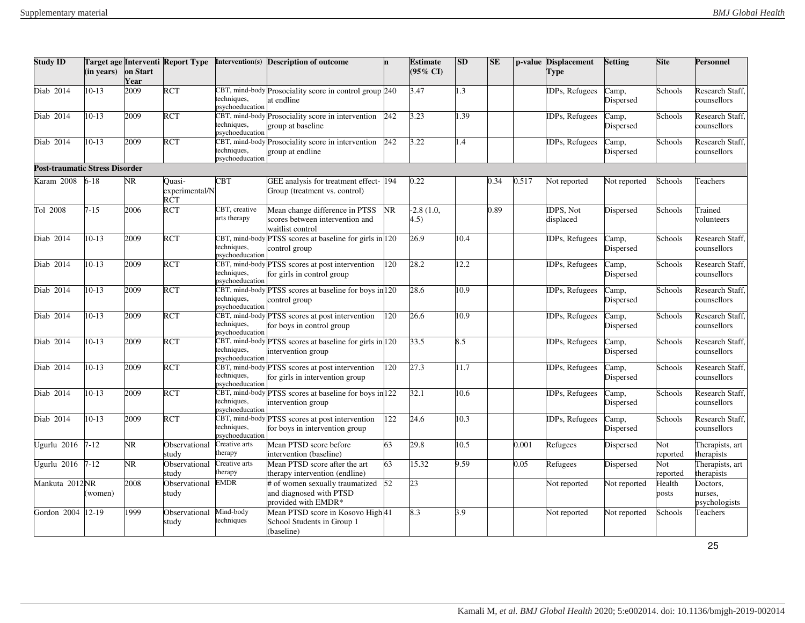| <b>Study ID</b>                | (in years) | on Start<br>Year | <b>Target age Interventi Report Type</b> | Intervention(s)                                  | <b>Description of outcome</b>                                                         | n         | Estimate<br>$(95\% \text{ CI})$ | <b>SD</b> | $\mathbf{SE}$ |       | p-value Displacement<br>Type | <b>Setting</b>                          | <b>Site</b>     | <b>Personnel</b>                     |
|--------------------------------|------------|------------------|------------------------------------------|--------------------------------------------------|---------------------------------------------------------------------------------------|-----------|---------------------------------|-----------|---------------|-------|------------------------------|-----------------------------------------|-----------------|--------------------------------------|
| Diab 2014                      | 10-13      | 2009             | <b>RCT</b>                               | techniques,<br>sychoeducation                    | 2BT, mind-body Prosociality score in control group 240<br>ut endline                  |           | 3.47                            | 1.3       |               |       | <b>IDPs, Refugees</b>        | Camp,<br>Dispersed                      | Schools         | Research Staff.<br>counsellors       |
| Diab 2014                      | $10-13$    | 2009             | <b>RCT</b>                               | techniques,<br>osychoeducation                   | CBT, mind-body Prosociality score in intervention<br>group at baseline                | 242       | 3.23                            | 1.39      |               |       | <b>IDPs, Refugees</b>        | Camp,<br>Dispersed                      | Schools         | Research Staff,<br>counsellors       |
| Diab 2014                      | $10-13$    | 2009             | <b>RCT</b>                               | CBT, mind-body<br>techniques,<br>psychoeducation | Prosociality score in intervention<br>group at endline                                | 242       | 3.22                            | 1.4       |               |       | IDPs, Refugees               | Camp,<br>Dispersed                      | Schools         | Research Staff,<br>counsellors       |
| Post-traumatic Stress Disorder |            |                  |                                          |                                                  |                                                                                       |           |                                 |           |               |       |                              |                                         |                 |                                      |
| Karam 2008                     | $6 - 18$   | NR.              | Ouasi-<br>experimental/N<br><b>RCT</b>   | <b>BT</b>                                        | GEE analysis for treatment effect-194<br>Group (treatment vs. control)                |           | 0.22                            |           | 0.34          | 0.517 | Not reported                 | Not reported                            | Schools         | Teachers                             |
| Tol 2008                       | $7 - 15$   | 2006             | RCT                                      | CBT, creative<br>arts therapy                    | Mean change difference in PTSS<br>scores between intervention and<br>waitlist control | <b>NR</b> | $-2.8(1.0,$<br>4.5)             |           | 0.89          |       | IDPS, Not<br>displaced       | Dispersed                               | Schools         | Trained<br>volunteers                |
| Diab 2014                      | $10-13$    | 2009             | <b>RCT</b>                               | techniques,<br>osychoeducation                   | CBT, mind-body PTSS scores at baseline for girls in 120<br>control group              |           | 26.9                            | 10.4      |               |       | <b>IDPs, Refugees</b>        | Camp,<br>Dispersed                      | Schools         | Research Staff.<br>counsellors       |
| Diab 2014                      | $10-13$    | 2009             | <b>RCT</b>                               | techniques,<br>sychoeducation                    | CBT, mind-body PTSS scores at post intervention<br>for girls in control group         | 120       | 28.2                            | 12.2      |               |       | <b>IDPs, Refugees</b>        | Camp,<br>Dispersed                      | Schools         | Research Staff,<br>counsellors       |
| Diab 2014                      | $10-13$    | 2009             | <b>RCT</b>                               | techniques,<br>sychoeducation                    | CBT, mind-body PTSS scores at baseline for boys in 120<br>control group               |           | 28.6                            | 10.9      |               |       | IDPs, Refugees               | Camp,<br>Dispersed                      | Schools         | Research Staff.<br>counsellors       |
| Diab 2014                      | $10-13$    | 2009             | <b>RCT</b>                               | techniques,<br>sychoeducation                    | CBT, mind-body PTSS scores at post intervention<br>for boys in control group          | 120       | 26.6                            | 10.9      |               |       | <b>IDPs, Refugees</b>        | Camp,<br>Dispersed                      | Schools         | Research Staff.<br>counsellors       |
| Diab 2014                      | $10-13$    | 2009             | <b>RCT</b>                               | techniques,<br>osychoeducation                   | CBT, mind-body PTSS scores at baseline for girls in 120<br>intervention group         |           | 33.5                            | 8.5       |               |       | <b>IDPs, Refugees</b>        | Camp,<br>Dispersed                      | Schools         | Research Staff.<br>counsellors       |
| Diab 2014                      | $10-13$    | 2009             | <b>RCT</b>                               | techniques,<br>sychoeducation                    | CBT, mind-body PTSS scores at post intervention<br>for girls in intervention group    | 120       | 27.3                            | 11.7      |               |       | <b>IDPs, Refugees</b>        | Camp,<br>Dispersed                      | Schools         | <b>Research Staff</b><br>counsellors |
| Diab 2014                      | $10-13$    | 2009             | <b>RCT</b>                               | techniques,<br>sychoeducation                    | CBT, mind-body PTSS scores at baseline for boys in 122<br>ntervention group           |           | 32.1                            | 10.6      |               |       | <b>IDPs, Refugees</b>        | $\overline{\text{C}}$ amp,<br>Dispersed | Schools         | Research Staff<br>counsellors        |
| Diab 2014                      | $10-13$    | 2009             | <b>RCT</b>                               | techniques,<br>osychoeducation                   | CBT, mind-body PTSS scores at post intervention<br>or boys in intervention group      | 122       | 24.6                            | 10.3      |               |       | <b>IDPs, Refugees</b>        | Camp,<br>Dispersed                      | Schools         | Research Staff.<br>counsellors       |
| Ugurlu 2016                    | $7 - 12$   | NR.              | Observational<br>studv                   | reative arts<br>herapy                           | Mean PTSD score before<br>intervention (baseline)                                     | 63        | 29.8                            | 10.5      |               | 0.001 | Refugees                     | Dispersed                               | Not<br>reported | Therapists, art<br>therapists        |
| Jgurlu 2016                    | $7 - 12$   | NR               | Observational<br>studv                   | reative arts<br>herapy                           | Mean PTSD score after the art<br>therapy intervention (endline)                       | 63        | 15.32                           | 9.59      |               | 0.05  | Refugees                     | Dispersed                               | Not<br>reported | Therapists, art<br>therapists        |
| Mankuta 2012NR                 | (women)    | 2008             | Observational<br>study                   | <b>EMDR</b>                                      | # of women sexually traumatized<br>and diagnosed with PTSD<br>provided with EMDR*     | 52        | 23                              |           |               |       | Not reported                 | Not reported                            | Health<br>posts | Doctors,<br>nurses,<br>psychologists |
| Gordon 2004                    | 12-19      | 1999             | Observational<br>study                   | Mind-body<br>techniques                          | Mean PTSD score in Kosovo High 41<br>School Students in Group 1<br>(baseline)         |           | 8.3                             | 3.9       |               |       | Not reported                 | Not reported                            | Schools         | Teachers                             |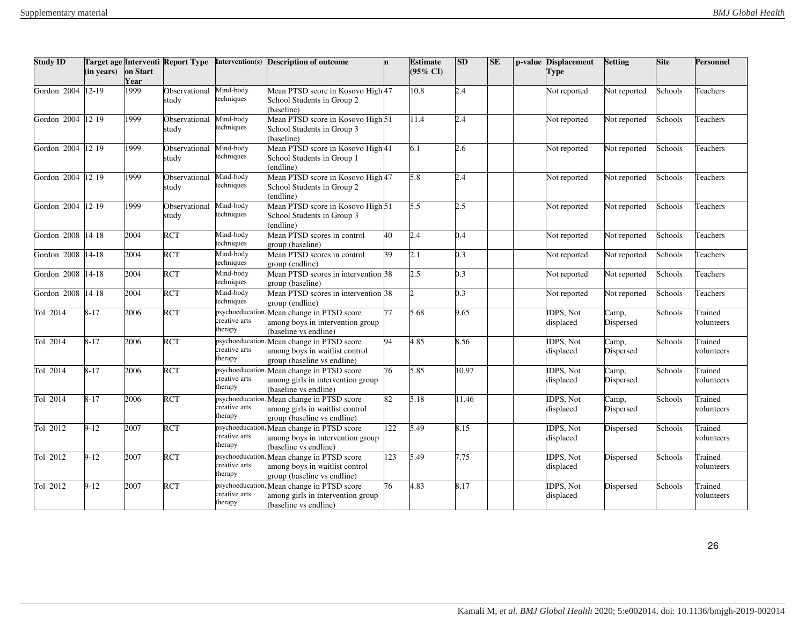| <b>Study ID</b>   | (in years) | on Start<br>Year | Target age Interventi Report Type |                                             | Intervention(s) Description of outcome                                                      | In. | <b>Estimate</b><br>$(95\%$ CD | SD    | <b>SE</b> | p-value Displacement<br><b>Type</b> | <b>Setting</b>                          | <b>Site</b> | <b>Personnel</b>      |
|-------------------|------------|------------------|-----------------------------------|---------------------------------------------|---------------------------------------------------------------------------------------------|-----|-------------------------------|-------|-----------|-------------------------------------|-----------------------------------------|-------------|-----------------------|
| Gordon 2004       | $12-19$    | 1999             | Observational<br>study            | Mind-body<br>techniques                     | Mean PTSD score in Kosovo High 47<br>School Students in Group 2<br>(baseline)               |     | 10.8                          | 2.4   |           | Not reported                        | Not reported                            | Schools     | Teachers              |
| Gordon 2004       | $12-19$    | 1999             | Observational<br>study            | Mind-body<br>techniques                     | Mean PTSD score in Kosovo High 51<br>School Students in Group 3<br>(baseline)               |     | 11.4                          | 2.4   |           | Not reported                        | Not reported                            | Schools     | Teachers              |
| Gordon 2004 12-19 |            | 1999             | Observational<br>study            | Mind-body<br>techniques                     | Mean PTSD score in Kosovo High 41<br>School Students in Group 1<br>(endline)                |     | 6.1                           | 2.6   |           | Not reported                        | Not reported                            | Schools     | Teachers              |
| Gordon 2004 12-19 |            | 1999             | Observational<br>study            | Mind-body<br>techniques                     | Mean PTSD score in Kosovo High 47<br>School Students in Group 2<br>(endline)                |     | 5.8                           | 2.4   |           | Not reported                        | Not reported                            | Schools     | Teachers              |
| Gordon 2004       | $12-19$    | 1999             | Observational<br>study            | Mind-body<br>techniques                     | Mean PTSD score in Kosovo High 51<br>School Students in Group 3<br>(endline)                |     | 5.5                           | 2.5   |           | Not reported                        | Not reported                            | Schools     | Teachers              |
| Gordon 2008       | $14 - 18$  | 2004             | <b>RCT</b>                        | Mind-body<br>techniques                     | Mean PTSD scores in control<br>group (baseline)                                             | 40  | 2.4                           | 0.4   |           | Not reported                        | Not reported                            | Schools     | Teachers              |
| Gordon 2008       | $14 - 18$  | 2004             | <b>RCT</b>                        | Mind-body<br>techniques                     | Mean PTSD scores in control<br>group (endline)                                              | 39  | 2.1                           | 0.3   |           | Not reported                        | Not reported                            | Schools     | Teachers              |
| Gordon 2008       | $14 - 18$  | 2004             | <b>RCT</b>                        | Mind-body<br>techniques                     | Mean PTSD scores in intervention 38<br>group (baseline)                                     |     | $2.5^{\circ}$                 | 0.3   |           | Not reported                        | Not reported                            | Schools     | Teachers              |
| Gordon 2008       | $14 - 18$  | 2004             | <b>RCT</b>                        | Mind-body<br>techniques                     | Mean PTSD scores in intervention 38<br>group (endline)                                      |     |                               | 0.3   |           | Not reported                        | Not reported                            | Schools     | Teachers              |
| Tol 2014          | $8 - 17$   | 2006             | <b>RCT</b>                        | psychoeducation<br>creative arts<br>therapy | Mean change in PTSD score<br>among boys in intervention group<br>(baseline vs endline)      | 77  | 5.68                          | 9.65  |           | <b>IDPS, Not</b><br>displaced       | Camp,<br>Dispersed                      | Schools     | Trained<br>volunteers |
| Tol 2014          | $8 - 17$   | 2006             | <b>RCT</b>                        | psychoeducation<br>creative arts<br>therapy | Mean change in PTSD score<br>among boys in waitlist control<br>group (baseline vs endline)  | 94  | 4.85                          | 8.56  |           | <b>IDPS, Not</b><br>displaced       | Camp,<br>Dispersed                      | Schools     | Trained<br>volunteers |
| Tol 2014          | $8 - 17$   | 2006             | <b>RCT</b>                        | osychoeducation<br>creative arts<br>therapy | Mean change in PTSD score<br>among girls in intervention group<br>(baseline vs endline)     | 76  | 5.85                          | 10.97 |           | IDPS, Not<br>displaced              | Camp,<br>Dispersed                      | Schools     | Trained<br>volunteers |
| Tol 2014          | $8 - 17$   | 2006             | <b>RCT</b>                        | psychoeducation<br>creative arts<br>therapy | Mean change in PTSD score<br>among girls in waitlist control<br>group (baseline vs endline) | 82  | 5.18                          | 1.46  |           | <b>IDPS, Not</b><br>displaced       | $\overline{\text{C}}$ amp,<br>Dispersed | Schools     | Trained<br>volunteers |
| Tol 2012          | $9-12$     | 2007             | <b>RCT</b>                        | osychoeducation<br>creative arts<br>therapy | Mean change in PTSD score<br>among boys in intervention group<br>(baseline vs endline)      | 122 | 5.49                          | 8.15  |           | IDPS, Not<br>displaced              | Dispersed                               | Schools     | Trained<br>volunteers |
| Tol 2012          | $9-12$     | 2007             | <b>RCT</b>                        | psychoeducation<br>creative arts<br>therapy | Mean change in PTSD score<br>among boys in waitlist control<br>group (baseline vs endline)  | 123 | 5.49                          | 7.75  |           | <b>IDPS. Not</b><br>displaced       | Dispersed                               | Schools     | Trained<br>volunteers |
| Tol 2012          | $9-12$     | 2007             | <b>RCT</b>                        | osychoeducation<br>creative arts<br>therapy | Mean change in PTSD score<br>among girls in intervention group<br>(baseline vs endline)     | 76  | 4.83                          | 8.17  |           | IDPS, Not<br>displaced              | Dispersed                               | Schools     | Trained<br>volunteers |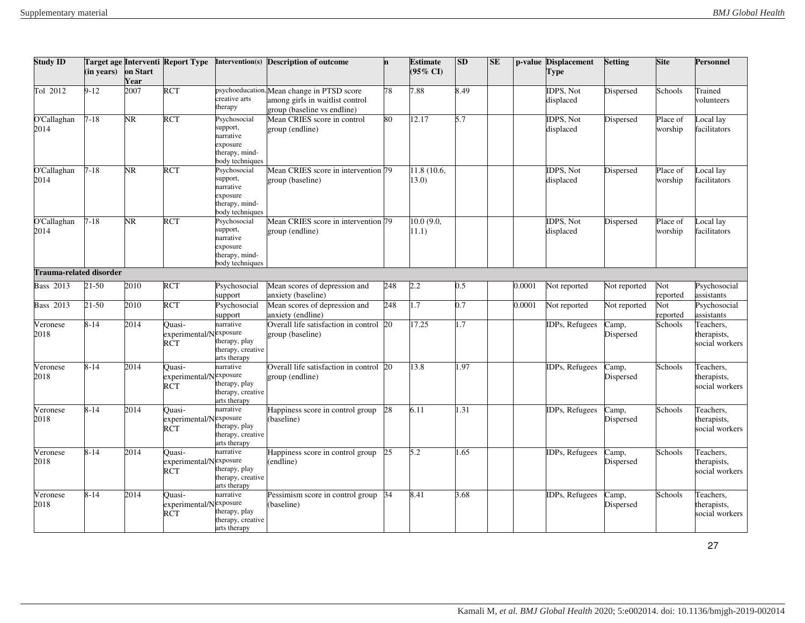| <b>Study ID</b>         | (in years) | on Start<br>Year | <b>Target age Interventi Report Type</b> | Intervention(s)                                                                        | <b>Description of outcome</b>                                                                                | 'n  | <b>Estimate</b><br>$(95\% \text{ CI})$ | <b>SD</b> | $\mathbf{SE}$ |        | p-value Displacement<br>Type  | <b>Setting</b>     | <b>Site</b>         | Personnel                                  |
|-------------------------|------------|------------------|------------------------------------------|----------------------------------------------------------------------------------------|--------------------------------------------------------------------------------------------------------------|-----|----------------------------------------|-----------|---------------|--------|-------------------------------|--------------------|---------------------|--------------------------------------------|
| Tol 2012                | $9 - 12$   | 2007             | <b>RCT</b>                               | creative arts<br>therapy                                                               | psychoeducation, Mean change in PTSD score<br>among girls in waitlist control<br>group (baseline vs endline) | 78  | 7.88                                   | 8.49      |               |        | <b>IDPS, Not</b><br>displaced | Dispersed          | Schools             | Trained<br>volunteers                      |
| O'Callaghan<br>2014     | $7 - 18$   | NR.              | <b>RCT</b>                               | Psychosocial<br>support,<br>narrative<br>exposure<br>therapy, mind-<br>body techniques | Mean CRIES score in control<br>group (endline)                                                               | 80  | 12.17                                  | 5.7       |               |        | <b>IDPS, Not</b><br>displaced | Dispersed          | Place of<br>worship | ocal lay<br>facilitators                   |
| O'Callaghan<br>2014     | $7 - 18$   | NR               | RCT                                      | Psychosocial<br>support,<br>narrative<br>exposure<br>therapy, mind-<br>body techniques | Mean CRIES score in intervention 79<br>group (baseline)                                                      |     | 11.8 (10.6,<br>13.0)                   |           |               |        | <b>IDPS, Not</b><br>displaced | Dispersed          | Place of<br>worship | ocal lay<br>facilitators                   |
| O'Callaghan<br>2014     | $7 - 18$   | NR.              | RCT                                      | Psychosocial<br>support,<br>narrative<br>exposure<br>therapy, mind-<br>body techniques | Mean CRIES score in intervention 79<br>group (endline)                                                       |     | 10.0 (9.0,<br>11.1)                    |           |               |        | <b>IDPS, Not</b><br>displaced | Dispersed          | Place of<br>worship | ocal lay<br>facilitators                   |
| Trauma-related disorder |            |                  |                                          |                                                                                        |                                                                                                              |     |                                        |           |               |        |                               |                    |                     |                                            |
| <b>Bass 2013</b>        | $21 - 50$  | 2010             | <b>RCT</b>                               | Psychosocial<br>support                                                                | Mean scores of depression and<br>anxiety (baseline)                                                          | 248 | 2.2                                    | 0.5       |               | 0.0001 | Not reported                  | Not reported       | Not<br>reported     | Psychosocial<br>assistants                 |
| <b>Bass 2013</b>        | 21-50      | 2010             | RCT                                      | Psychosocial<br>support                                                                | Mean scores of depression and<br>anxiety (endline)                                                           | 248 | 1.7                                    | 0.7       |               | 0.0001 | Not reported                  | Not reported       | Not<br>reported     | Psychosocial<br>assistants                 |
| Veronese<br>2018        | $8 - 14$   | 2014             | Ouasi-<br>experimental/Nexposure<br>RCT  | narrative<br>therapy, play<br>therapy, creative<br>arts therapy                        | Overall life satisfaction in control<br>group (baseline)                                                     | 20  | 17.25                                  | 1.7       |               |        | <b>IDPs, Refugees</b>         | Camp,<br>Dispersed | Schools             | Teachers.<br>therapists,<br>social workers |
| Veronese<br>2018        | $8 - 14$   | 2014             | Ouasi-<br>experimental/Nexposure<br>RČT  | narrative<br>therapy, play<br>therapy, creative<br>arts therapy                        | Overall life satisfaction in control 20<br>group (endline)                                                   |     | 13.8                                   | 1.97      |               |        | IDPs, Refugees                | Camp,<br>Dispersed | Schools             | Teachers,<br>therapists,<br>social workers |
| Veronese<br>2018        | $8 - 14$   | 2014             | Ouasi-<br>experimental/Nexposure<br>RCT  | narrative<br>therapy, play<br>therapy, creative<br>arts therapy                        | Happiness score in control group<br>(baseline)                                                               | 28  | 6.11                                   | 1.31      |               |        | IDPs, Refugees                | Camp,<br>Dispersed | Schools             | Teachers,<br>therapists,<br>social workers |
| Veronese<br>2018        | $8 - 14$   | 2014             | Ouasi-<br>experimental/Nexposure<br>RCT  | narrative<br>therapy, play<br>therapy, creative<br>arts therapy                        | Happiness score in control group<br>(endline)                                                                | 25  | 5.2                                    | 1.65      |               |        | IDPs, Refugees                | Camp,<br>Dispersed | Schools             | Teachers,<br>therapists,<br>social workers |
| Veronese<br>2018        | $8 - 14$   | 2014             | Ouasi-<br>experimental/Nexposure<br>RĈT  | narrative<br>therapy, play<br>therapy, creative<br>arts therapy                        | Pessimism score in control group<br>(baseline)                                                               | 34  | 8.41                                   | 3.68      |               |        | <b>IDPs</b> , Refugees        | Camp,<br>Dispersed | Schools             | Teachers,<br>therapists,<br>social workers |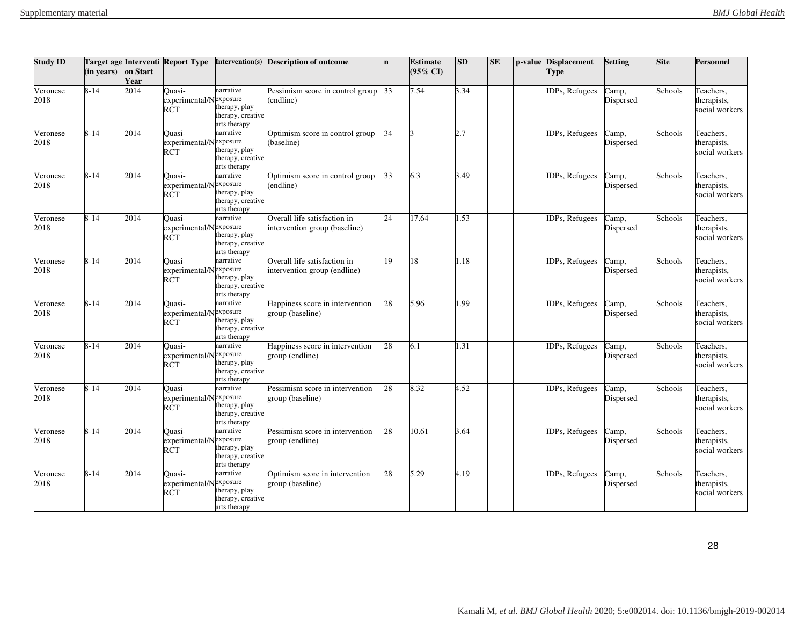| <b>Study ID</b>  | (in years) | on Start<br>Year | <b>Target age Interventi Report Type</b>       | Intervention(s)                                                 | <b>Description of outcome</b>                                 | 'n | <b>Estimate</b><br>$(95\% \text{ CI})$ | <b>SD</b> | $\mathbf{SE}$ | p-value Displacement<br><b>Type</b> | <b>Setting</b>                          | <b>Site</b> | <b>Personnel</b>                           |
|------------------|------------|------------------|------------------------------------------------|-----------------------------------------------------------------|---------------------------------------------------------------|----|----------------------------------------|-----------|---------------|-------------------------------------|-----------------------------------------|-------------|--------------------------------------------|
| Veronese<br>2018 | $8 - 14$   | 2014             | Ouasi-<br>experimental/Nexposure<br><b>RCT</b> | narrative<br>therapy, play<br>therapy, creative<br>arts therapy | Pessimism score in control group<br>(endline)                 | 33 | 7.54                                   | 3.34      |               | IDPs, Refugees                      | Camp,<br>Dispersed                      | Schools     | Teachers,<br>therapists,<br>social workers |
| Veronese<br>2018 | $8 - 14$   | 2014             | Ouasi-<br>experimental/Nexposure<br><b>RCT</b> | narrative<br>therapy, play<br>therapy, creative<br>arts therapy | Optimism score in control group<br>(baseline)                 | 34 | l٦                                     | 2.7       |               | <b>IDPs</b> , Refugees              | Camp,<br>Dispersed                      | Schools     | Teachers.<br>therapists,<br>social workers |
| Veronese<br>2018 | $8 - 14$   | 2014             | Ouasi-<br>experimental/Nexposure<br><b>RCT</b> | narrative<br>therapy, play<br>therapy, creative<br>arts therapy | Optimism score in control group<br>endline)                   | 33 | 6.3                                    | 3.49      |               | IDPs, Refugees                      | Camp,<br>Dispersed                      | Schools     | Teachers,<br>therapists,<br>social workers |
| Veronese<br>2018 | $8 - 14$   | 2014             | Ouasi-<br>experimental/Nexposure<br><b>RCT</b> | narrative<br>therapy, play<br>therapy, creative<br>arts therapy | Overall life satisfaction in<br>intervention group (baseline) | 24 | 17.64                                  | .53       |               | IDPs, Refugees                      | Camp,<br>Dispersed                      | Schools     | Teachers.<br>therapists,<br>social workers |
| Veronese<br>2018 | $8 - 14$   | 2014             | Quasi-<br>experimental/Nexposure<br><b>RCT</b> | narrative<br>therapy, play<br>therapy, creative<br>arts therapy | Overall life satisfaction in<br>intervention group (endline)  | 19 | 18                                     | .18       |               | IDPs, Refugees                      | Camp,<br>Dispersed                      | Schools     | Teachers,<br>therapists,<br>social workers |
| Veronese<br>2018 | $8 - 14$   | 2014             | Ouasi-<br>experimental/Nexposure<br>RCT        | narrative<br>therapy, play<br>therapy, creative<br>arts therapy | Happiness score in intervention<br>group (baseline)           | 28 | 5.96                                   | .99       |               | IDPs, Refugees                      | $\overline{\text{Camp}}$ ,<br>Dispersed | Schools     | Teachers,<br>therapists,<br>social workers |
| Veronese<br>2018 | $8 - 14$   | 2014             | Ouasi-<br>experimental/Nexposure<br>RCT        | narrative<br>therapy, play<br>therapy, creative<br>arts therapy | Happiness score in intervention<br>group (endline)            | 28 | 6.1                                    | .31       |               | <b>IDPs</b> , Refugees              | Camp,<br>Dispersed                      | Schools     | Teachers,<br>therapists,<br>social workers |
| Veronese<br>2018 | $8 - 14$   | 2014             | Ouasi-<br>experimental/Nexposure<br>RCT        | narrative<br>therapy, play<br>therapy, creative<br>arts therapy | Pessimism score in intervention<br>group (baseline)           | 28 | 8.32                                   | 4.52      |               | <b>IDPs</b> , Refugees              | Camp,<br>Dispersed                      | Schools     | Teachers,<br>therapists,<br>social workers |
| Veronese<br>2018 | $8 - 14$   | 2014             | Ouasi-<br>experimental/Nexposure<br>RCT        | narrative<br>therapy, play<br>therapy, creative<br>arts therapy | Pessimism score in intervention<br>group (endline)            | 28 | 10.61                                  | 3.64      |               | IDPs, Refugees                      | Camp,<br>Dispersed                      | Schools     | Teachers,<br>therapists,<br>social workers |
| Veronese<br>2018 | $8 - 14$   | 2014             | Quasi-<br>experimental/Nexposure<br><b>RCT</b> | narrative<br>therapy, play<br>therapy, creative<br>arts therapy | Optimism score in intervention<br>group (baseline)            | 28 | 5.29                                   | 4.19      |               | IDPs, Refugees                      | Camp,<br>Dispersed                      | Schools     | Teachers,<br>therapists,<br>social workers |